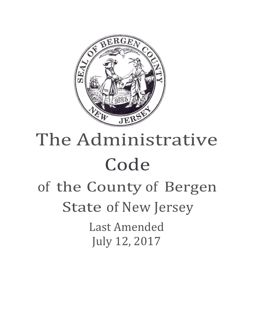

# The Administrative Code of the County of Bergen State of New Jersey Last Amended July 12, 2017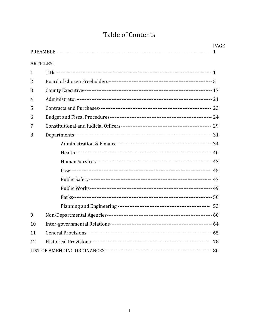# Table of Contents

|                  |  | <b>PAGE</b> |
|------------------|--|-------------|
| <b>ARTICLES:</b> |  |             |
| 1                |  |             |
| 2                |  |             |
| 3                |  |             |
| 4                |  |             |
| 5                |  |             |
| 6                |  |             |
| 7                |  |             |
| 8                |  |             |
|                  |  |             |
|                  |  |             |
|                  |  |             |
|                  |  |             |
|                  |  |             |
|                  |  |             |
|                  |  |             |
|                  |  |             |
| 9                |  |             |
| 10               |  |             |
| 11               |  |             |
| 12               |  |             |
|                  |  |             |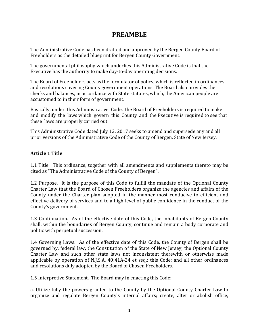## **PREAMBLE**

The Administrative Code has been drafted and approved by the Bergen County Board of Freeholders as the detailed blueprint for Bergen County Government.

The governmental philosophy which underlies this Administrative Code is that the Executive has the authority to make day-to-day operating decisions.

The Board of Freeholders acts as the formulator of policy, which is reflected in ordinances and resolutions covering County government operations. The Board also provides the checks and balances, in accordance with State statutes, which, the American people are accustomed to in their form of government.

Basically, under this Administrative Code, the Board of Freeholders is required to make and modify the laws which govern this County and the Executive is required to see that these laws are properly carried out.

This Administrative Code dated July 12, 2017 seeks to amend and supersede any and all prior versions of the Administrative Code of the County of Bergen, State of New Jersey.

#### **Article 1 Title**

1.1 Title. This ordinance, together with all amendments and supplements thereto may be cited as "The Administrative Code of the County of Bergen".

1.2 Purpose. It is the purpose of this Code to fulfill the mandate of the Optional County Charter Law that the Board of Chosen Freeholders organize the agencies and affairs of the County under the Charter plan adopted in the manner most conducive to efficient and effective delivery of services and to a high level of public confidence in the conduct of the County's government.

1.3 Continuation. As of the effective date of this Code, the inhabitants of Bergen County shall, within the boundaries of Bergen County, continue and remain a body corporate and politic with perpetual succession.

1.4 Governing Laws. As of the effective date of this Code, the County of Bergen shall be governed by: federal law; the Constitution of the State of New Jersey; the Optional County Charter Law and such other state laws not inconsistent therewith or otherwise made applicable by operation of N.J.S.A. 40:41A-24 et seq.; this Code; and all other ordinances and resolutions duly adopted by the Board of Chosen Freeholders.

1.5 Interpretive Statement. The Board may in enacting this Code:

a. Utilize fully the powers granted to the County by the Optional County Charter Law to organize and regulate Bergen County's internal affairs; create, alter or abolish office,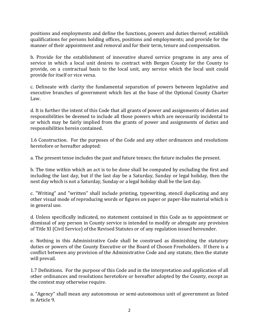positions and employments and define the functions, powers and duties thereof; establish qualifications for persons holding offices, positions and employments; and provide for the manner of their appointment and removal and for their term, tenure and compensation.

b. Provide for the establishment of innovative shared service programs in any area of service in which a local unit desires to contract with Bergen County for the County to provide, on a contractual basis to the local unit, any service which the local unit could provide for itself or vice versa.

c. Delineate with clarity the fundamental separation of powers between legislative and executive branches of government which lies at the base of the Optional County Charter Law.

d. It is further the intent of this Code that all grants of power and assignments of duties and responsibilities be deemed to include all those powers which are necessarily incidental to or which may be fairly implied from the grants of power and assignments of duties and responsibilities herein contained.

1.6 Construction. For the purposes of the Code and any other ordinances and resolutions heretofore or hereafter adopted:

a. The present tense includes the past and future tenses; the future includes the present.

b. The time within which an act is to be done shall be computed by excluding the first and including the last day, but if the last day be a Saturday, Sunday or legal holiday, then the next day which is not a Saturday, Sunday or a legal holiday shall be the last day.

c. "Writing" and "written" shall include printing, typewriting, stencil duplicating and any other visual mode of reproducing words or figures on paper or paper-like material which is in general use.

d. Unless specifically indicated, no statement contained in this Code as to appointment or dismissal of any person in County service is intended to modify or abrogate any provision of Title XI (Civil Service) of the Revised Statutes or of any regulation issued hereunder.

e. Nothing in this Administrative Code shall be construed as diminishing the statutory duties or powers of the County Executive or the Board of Chosen Freeholders. If there is a conflict between any provision of the Administrative Code and any statute, then the statute will prevail.

1.7 Definitions. For the purpose of this Code and in the interpretation and application of all other ordinances and resolutions heretofore or hereafter adopted by the County, except as the context may otherwise require.

a. "Agency" shall mean any autonomous or semi-autonomous unit of government as listed in Article 9.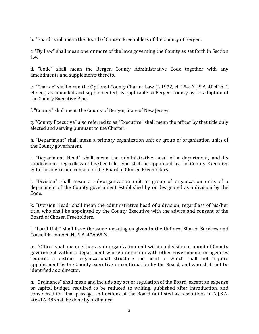b. "Board" shall mean the Board of Chosen Freeholders of the County of Bergen.

c. "By Law" shall mean one or more of the laws governing the County as set forth in Section 1.4.

d. "Code" shall mean the Bergen County Administrative Code together with any amendments and supplements thereto.

e. "Charter" shall mean the Optional County Charter Law (L.1972, ch.154; N.J.S.A. 40:41A\_1 et seq.) as amended and supplemented, as applicable to Bergen County by its adoption of the County Executive Plan.

f. "County" shall mean the County of Bergen, State of New Jersey.

g. "County Executive" also referred to as "Executive" shall mean the officer by that title duly elected and serving pursuant to the Charter.

h. "Department" shall mean a primary organization unit or group of organization units of the County government.

i. "Department Head" shall mean the administrative head of a department, and its subdivisions, regardless of his/her title, who shall be appointed by the County Executive with the advice and consent of the Board of Chosen Freeholders.

j. "Division" shall mean a sub-organization unit or group of organization units of a department of the County government established by or designated as a division by the Code.

k. "Division Head" shall mean the administrative head of a division, regardless of his/her title, who shall be appointed by the County Executive with the advice and consent of the Board of Chosen Freeholders.

l. "Local Unit" shall have the same meaning as given in the Uniform Shared Services and Consolidation Act, N.J.S.A. 40A:65-3.

m. "Office" shall mean either a sub-organization unit within a division or a unit of County government within a department whose interaction with other governments or agencies requires a distinct organizational structure the head of which shall not require appointment by the County executive or confirmation by the Board, and who shall not be identified as a director.

n. "Ordinance" shall mean and include any act or regulation of the Board, except an expense or capital budget, required to be reduced to writing, published after introduction, and considered for final passage. All actions of the Board not listed as resolutions in N.J.S.A. 40:41A-38 shall be done by ordinance.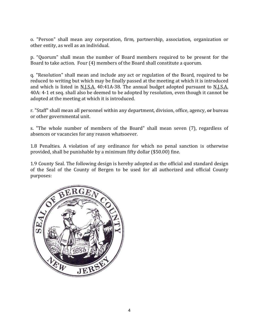o. "Person" shall mean any corporation, firm, partnership, association, organization or other entity, as well as an individual.

p. "Quorum" shall mean the number of Board members required to be present for the Board to take action. Four (4) members of the Board shall constitute a quorum.

q. "Resolution" shall mean and include any act or regulation of the Board, required to be reduced to writing but which may be finally passed at the meeting at which it is introduced and which is listed in <u>N.J.S.A.</u> 40:41A-38. The annual budget adopted pursuant to N.J.S.A. 40A: 4-1 et seq. shall also be deemed to be adopted by resolution, even though it cannot be adopted at the meeting at which it is introduced.

r. "Staff" shall mean all personnel within any department, division, office, agency, or bureau or other governmental unit.

s. "The whole number of members of the Board" shall mean seven (7), regardless of absences or vacancies for any reason whatsoever.

1.8 Penalties. A violation of any ordinance for which no penal sanction is otherwise provided, shall be punishable by a minimum fifty dollar (\$50.00) fine.

1.9 County Seal. The following design is hereby adopted as the official and standard design of the Seal of the County of Bergen to be used for all authorized and official County purposes:

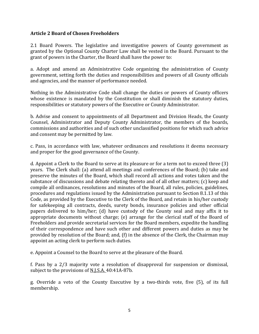#### **Article 2 Board of Chosen Freeholders**

2.1 Board Powers. The legislative and investigative powers of County government as granted by the Optional County Charter Law shall be vested in the Board. Pursuant to the grant of powers in the Charter, the Board shall have the power to:

a. Adopt and amend an Administrative Code organizing the administration of County government, setting forth the duties and responsibilities and powers of all County officials and agencies, and the manner of performance needed.

Nothing in the Administrative Code shall change the duties or powers of County officers whose existence is mandated by the Constitution or shall diminish the statutory duties, responsibilities or statutory powers of the Executive or County Administrator.

b. Advise and consent to appointments of all Department and Division Heads, the County Counsel, Administrator and Deputy County Administrator, the members of the boards, commissions and authorities and of such other unclassified positions for which such advice and consent may be permitted by law.

c. Pass, in accordance with law, whatever ordinances and resolutions it deems necessary and proper for the good governance of the County.

d. Appoint a Clerk to the Board to serve at its pleasure or for a term not to exceed three (3) years. The Clerk shall: (a) attend all meetings and conferences of the Board; (b) take and preserve the minutes of the Board, which shall record all actions and votes taken and the substance of discussions and debate relating thereto and of all other matters; (c) keep and compile all ordinances, resolutions and minutes of the Board, all rules, policies, guidelines, procedures and regulations issued by the Administration pursuant to Section 8.1.13 of this Code, as provided by the Executive to the Clerk of the Board, and retain in his/her custody for safekeeping all contracts, deeds, surety bonds, insurance policies and other official papers delivered to him/her; (d) have custody of the County seal and may affix it to appropriate documents without charge; (e) arrange for the clerical staff of the Board of Freeholders and provide secretarial services for the Board members, expedite the handling of their correspondence and have such other and different powers and duties as may be provided by resolution of the Board; and, (f) in the absence of the Clerk, the Chairman may appoint an acting clerk to perform such duties.

e. Appoint a Counsel to the Board to serve at the pleasure of the Board.

f. Pass by a 2/3 majority vote a resolution of disapproval for suspension or dismissal, subject to the provisions of N.J.S.A. 40:41A-87b.

g. Override a veto of the County Executive by a two-thirds vote, five (5), of its full membership.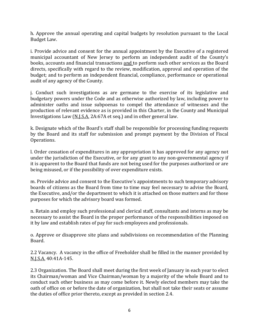h. Approve the annual operating and capital budgets by resolution pursuant to the Local Budget Law.

i. Provide advice and consent for the annual appointment by the Executive of a registered municipal accountant of New Jersey to perform an independent audit of the County's books, accounts and financial transactions and to perform such other services as the Board directs, specifically with regard to the review, modification, approval and operation of the budget; and to perform an independent financial, compliance, performance or operational audit of any agency of the County.

j. Conduct such investigations as are germane to the exercise of its legislative and budgetary powers under the Code and as otherwise authorized by law, including power to administer oaths and issue subpoenas to compel the attendance of witnesses and the production of relevant evidence as is provided in this Charter, in the County and Municipal Investigations Law (N.J.S.A. 2A:67A et seq.) and in other general law.

k. Designate which of the Board's staff shall be responsible for processing funding requests by the Board and its staff for submission and prompt payment by the Division of Fiscal Operations.

l. Order cessation of expenditures in any appropriation it has approved for any agency not under the jurisdiction of the Executive, or for any grant to any non-governmental agency if it is apparent to the Board that funds are not being used for the purposes authorized or are being misused, or if the possibility of over expenditure exists.

m. Provide advice and consent to the Executive's appointments to such temporary advisory boards of citizens as the Board from time to time may feel necessary to advise the Board, the Executive, and/or the department to which it is attached on those matters and for those purposes for which the advisory board was formed.

n. Retain and employ such professional and clerical staff, consultants and interns as may be necessary to assist the Board in the proper performance of the responsibilities imposed on it by law and establish rates of pay for such employees and professionals.

o. Approve or disapprove site plans and subdivisions on recommendation of the Planning Board.

2.2 Vacancy. A vacancy in the office of Freeholder shall be filled in the manner provided by N.J.S.A. 40:41A-145.

2.3 Organization. The Board shall meet during the first week of January in each year to elect its Chairman/woman and Vice Chairman/woman by a majority of the whole Board and to conduct such other business as may come before it. Newly elected members may take the oath of office on or before the date of organization, but shall not take their seats or assume the duties of office prior thereto, except as provided in section 2.4.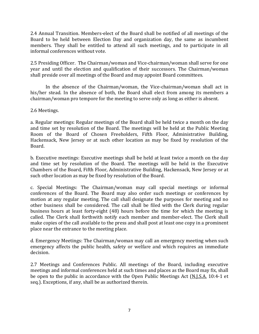2.4 Annual Transition. Members-elect of the Board shall be notified of all meetings of the Board to be held between Election Day and organization day, the same as incumbent members. They shall be entitled to attend all such meetings, and to participate in all informal conferences without vote.

2.5 Presiding Officer. The Chairman/woman and Vice-chairman/woman shall serve for one year and until the election and qualification of their successors. The Chairman/woman shall preside over all meetings of the Board and may appoint Board committees.

In the absence of the Chairman/woman, the Vice-chairman/woman shall act in his/her stead. In the absence of both, the Board shall elect from among its members a chairman/woman pro tempore for the meeting to serve only as long as either is absent.

#### 2.6 Meetings.

a. Regular meetings: Regular meetings of the Board shall be held twice a month on the day and time set by resolution of the Board. The meetings will be held at the Public Meeting Room of the Board of Chosen Freeholders, Fifth Floor, Administrative Building, Hackensack, New Jersey or at such other location as may be fixed by resolution of the Board.

b. Executive meetings: Executive meetings shall be held at least twice a month on the day and time set by resolution of the Board. The meetings will be held in the Executive Chambers of the Board, Fifth Floor, Administrative Building, Hackensack, New Jersey or at such other location as may be fixed by resolution of the Board.

c. Special Meetings: The Chairman/woman may call special meetings or informal conferences of the Board. The Board may also order such meetings or conferences by motion at any regular meeting. The call shall designate the purposes for meeting and no other business shall be considered. The call shall be filed with the Clerk during regular business hours at least forty-eight (48) hours before the time for which the meeting is called. The Clerk shall forthwith notify each member and member-elect. The Clerk shall make copies of the call available to the press and shall post at least one copy in a prominent place near the entrance to the meeting place.

d. Emergency Meetings: The Chairman/woman may call an emergency meeting when such emergency affects the public health, safety or welfare and which requires an immediate decision.

2.7 Meetings and Conferences Public. All meetings of the Board, including executive meetings and informal conferences held at such times and places as the Board may fix, shall be open to the public in accordance with the Open Public Meetings Act (N.J.S.A. 10:4-1 et seq.). Exceptions, if any, shall be as authorized therein.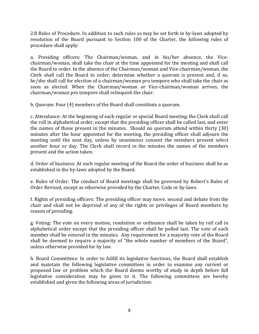2.8 Rules of Procedure. In addition to such rules as may be set forth in by-laws adopted by resolution of the Board pursuant to Section 100 of the Charter, the following rules of procedure shall apply:

a. Presiding officers: The Chairman/woman, and in his/her absence, the Vicechairman/woman, shall take the chair at the time appointed for the meeting and shall call the Board to order. In the absence of the Chairman/woman and Vice-chairman/woman, the Clerk shall call the Board to order, determine whether a quorum is present and, if so, he/she shall call for election of a chairman/woman pro tempore who shall take the chair as soon as elected. When the Chairman/woman or Vice-chairman/woman arrives, the chairman/woman pro tempore shall relinquish the chair.

b. Quorum: Four (4) members of the Board shall constitute a quorum.

c. Attendance: At the beginning of each regular or special Board meeting, the Clerk shall call the roll in alphabetical order, except that the presiding officer shall be called last, and enter the names of those present in the minutes. Should no quorum attend within thirty (30) minutes after the hour appointed for the meeting, the presiding officer shall adjourn the meeting until the next day, unless by unanimous consent the members present select another hour or day. The Clerk shall record in the minutes the names of the members present and the action taken.

d. Order of business: At each regular meeting of the Board the order of business shall be as established in the by-laws adopted by the Board.

e. Rules of Order: The conduct of Board meetings shall be governed by Robert's Rules of Order Revised, except as otherwise provided by the Charter, Code or by-laws.

f. Rights of presiding officers: The presiding officer may move, second and debate from the chair and shall not be deprived of any of the rights or privileges of Board members by reason of presiding.

g. Voting: The vote on every motion, resolution or ordinance shall be taken by roll call in alphabetical order except that the presiding officer shall be polled last. The vote of each member shall be entered in the minutes. Any requirement for a majority vote of the Board shall be deemed to require a majority of "the whole number of members of the Board", unless otherwise provided for by law.

h. Board Committees: In order to fulfill its legislative functions, the Board shall establish and maintain the following legislative committees in order to examine any current or proposed law or problem which the Board deems worthy of study in depth before full legislative consideration may be given to it. The following committees are hereby established and given the following areas of jurisdiction: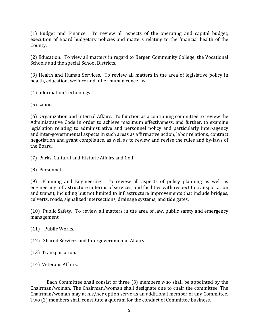(1) Budget and Finance. To review all aspects of the operating and capital budget, execution of Board budgetary policies and matters relating to the financial health of the County.

(2) Education. To view all matters in regard to Bergen Community College, the Vocational Schools and the special School Districts.

(3) Health and Human Services. To review all matters in the area of legislative policy in health, education, welfare and other human concerns.

(4) Information Technology.

(5) Labor.

(6) Organization and Internal Affairs. To function as a continuing committee to review the Administrative Code in order to achieve maximum effectiveness, and further, to examine legislation relating to administrative and personnel policy and particularly inter-agency and inter-governmental aspects in such areas as affirmative action, labor relations, contract negotiation and grant compliance, as well as to review and revise the rules and by-laws of the Board.

(7) Parks, Cultural and Historic Affairs and Golf.

(8) Personnel.

(9) Planning and Engineering. To review all aspects of policy planning as well as engineering infrastructure in terms of services, and facilities with respect to transportation and transit, including but not limited to infrastructure improvements that include bridges, culverts, roads, signalized intersections, drainage systems, and tide gates.

(10) Public Safety. To review all matters in the area of law, public safety and emergency management.

(11) Public Works.

(12) Shared Services and Intergovernmental Affairs.

(13) Transportation.

(14) Veterans Affairs.

Each Committee shall consist of three (3) members who shall be appointed by the Chairman/woman. The Chairman/woman shall designate one to chair the committee. The Chairman/woman may at his/her option serve as an additional member of any Committee. Two (2) members shall constitute a quorum for the conduct of Committee business.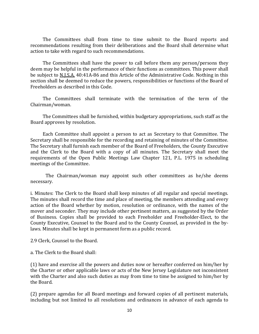The Committees shall from time to time submit to the Board reports and recommendations resulting from their deliberations and the Board shall determine what action to take with regard to such recommendations.

 The Committees shall have the power to call before them any person/persons they deem may be helpful in the performance of their functions as committees. This power shall be subject to N.J.S.A. 40:41A-86 and this Article of the Administrative Code. Nothing in this section shall be deemed to reduce the powers, responsibilities or functions of the Board of Freeholders as described in this Code.

 The Committees shall terminate with the termination of the term of the Chairman/woman.

 The Committees shall be furnished, within budgetary appropriations, such staff as the Board approves by resolution.

 Each Committee shall appoint a person to act as Secretary to that Committee. The Secretary shall be responsible for the recording and retaining of minutes of the Committee. The Secretary shall furnish each member of the Board of Freeholders, the County Executive and the Clerk to the Board with a copy of all minutes. The Secretary shall meet the requirements of the Open Public Meetings Law Chapter 121, P.L. 1975 in scheduling meetings of the Committee.

 The Chairman/woman may appoint such other committees as he/she deems necessary.

i. Minutes: The Clerk to the Board shall keep minutes of all regular and special meetings. The minutes shall record the time and place of meeting, the members attending and every action of the Board whether by motion, resolution or ordinance, with the names of the mover and seconder. They may include other pertinent matters, as suggested by the Order of Business. Copies shall be provided to each Freeholder and Freeholder-Elect, to the County Executive, Counsel to the Board and to the County Counsel, as provided in the bylaws. Minutes shall be kept in permanent form as a public record.

2.9 Clerk, Counsel to the Board.

a. The Clerk to the Board shall:

(1) have and exercise all the powers and duties now or hereafter conferred on him/her by the Charter or other applicable laws or acts of the New Jersey Legislature not inconsistent with the Charter and also such duties as may from time to time be assigned to him/her by the Board.

(2) prepare agendas for all Board meetings and forward copies of all pertinent materials, including but not limited to all resolutions and ordinances in advance of each agenda to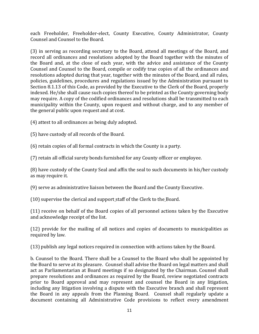each Freeholder, Freeholder-elect, County Executive, County Administrator, County Counsel and Counsel to the Board.

(3) in serving as recording secretary to the Board, attend all meetings of the Board, and record all ordinances and resolutions adopted by the Board together with the minutes of the Board and, at the close of each year, with the advice and assistance of the County Counsel and Counsel to the Board, compile or codify true copies of all the ordinances and resolutions adopted during that year, together with the minutes of the Board, and all rules, policies, guidelines, procedures and regulations issued by the Administration pursuant to Section 8.1.13 of this Code, as provided by the Executive to the Clerk of the Board, properly indexed. He/she shall cause such copies thereof to be printed as the County governing body may require. A copy of the codified ordinances and resolutions shall be transmitted to each municipality within the County, upon request and without charge, and to any member of the general public upon request and at cost.

(4) attest to all ordinances as being duly adopted.

(5) have custody of all records of the Board.

(6) retain copies of all formal contracts in which the County is a party.

(7) retain all official surety bonds furnished for any County officer or employee.

(8) have custody of the County Seal and affix the seal to such documents in his/her custody as may require it.

(9) serve as administrative liaison between the Board and the County Executive.

(10) supervise the clerical and support staff of the Clerk to the Board.

(11) receive on behalf of the Board copies of all personnel actions taken by the Executive and acknowledge receipt of the list.

(12) provide for the mailing of all notices and copies of documents to municipalities as required by law.

(13) publish any legal notices required in connection with actions taken by the Board.

b. Counsel to the Board. There shall be a Counsel to the Board who shall be appointed by the Board to serve at its pleasure. Counsel shall advise the Board on legal matters and shall act as Parliamentarian at Board meetings if so designated by the Chairman. Counsel shall prepare resolutions and ordinances as required by the Board, review negotiated contracts prior to Board approval and may represent and counsel the Board in any litigation, including any litigation involving a dispute with the Executive branch and shall represent the Board in any appeals from the Planning Board. Counsel shall regularly update a document containing all Administrative Code provisions to reflect every amendment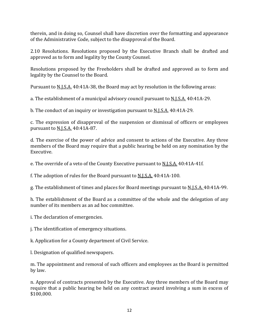therein, and in doing so, Counsel shall have discretion over the formatting and appearance of the Administrative Code, subject to the disapproval of the Board.

2.10 Resolutions. Resolutions proposed by the Executive Branch shall be drafted and approved as to form and legality by the County Counsel.

Resolutions proposed by the Freeholders shall be drafted and approved as to form and legality by the Counsel to the Board.

Pursuant to N.J.S.A. 40:41A-38, the Board may act by resolution in the following areas:

a. The establishment of a municipal advisory council pursuant to N.J.S.A. 40:41A-29.

b. The conduct of an inquiry or investigation pursuant to **N.J.S.A.** 40:41A-29.

c. The expression of disapproval of the suspension or dismissal of officers or employees pursuant to N.J.S.A. 40:41A-87.

d. The exercise of the power of advice and consent to actions of the Executive. Any three members of the Board may require that a public hearing be held on any nomination by the Executive.

e. The override of a veto of the County Executive pursuant to N.J.S.A. 40:41A-41f.

f. The adoption of rules for the Board pursuant to N.J.S.A. 40:41A-100.

g. The establishment of times and places for Board meetings pursuant to N.J.S.A. 40:41A-99.

h. The establishment of the Board as a committee of the whole and the delegation of any number of its members as an ad hoc committee.

i. The declaration of emergencies.

j. The identification of emergency situations.

k. Application for a County department of Civil Service.

l. Designation of qualified newspapers.

m. The appointment and removal of such officers and employees as the Board is permitted by law.

n. Approval of contracts presented by the Executive. Any three members of the Board may require that a public hearing be held on any contract award involving a sum in excess of \$100,000.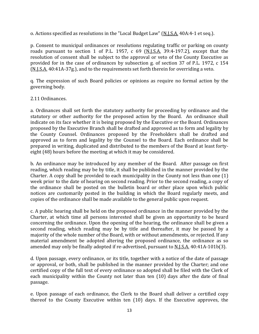o. Actions specified as resolutions in the "Local Budget Law" (N.J.S.A. 40A:4-1 et seq.).

p. Consent to municipal ordinances or resolutions regulating traffic or parking on county roads pursuant to section 1 of P.L. 1957, c 69 (N.J.S.A. 39:4-197.2), except that the resolution of consent shall be subject to the approval or veto of the County Executive as provided for in the case of ordinances by subsection g. of section 37 of P.L. 1972, c 154 (N.J.S.A. 40:41A-37g.), and to the requirements set forth therein for overriding a veto.

q. The expression of such Board policies or opinions as require no formal action by the governing body.

#### 2.11 Ordinances.

a. Ordinances shall set forth the statutory authority for proceeding by ordinance and the statutory or other authority for the proposed action by the Board. An ordinance shall indicate on its face whether it is being proposed by the Executive or the Board. Ordinances proposed by the Executive Branch shall be drafted and approved as to form and legality by the County Counsel. Ordinances proposed by the Freeholders shall be drafted and approved as to form and legality by the Counsel to the Board. Each ordinance shall be prepared in writing, duplicated and distributed to the members of the Board at least fortyeight (48) hours before the meeting at which it may be considered.

b. An ordinance may be introduced by any member of the Board. After passage on first reading, which reading may be by title, it shall be published in the manner provided by the Charter. A copy shall be provided to each municipality in the County not less than one (1) week prior to the date of hearing on second reading. Prior to the second reading, a copy of the ordinance shall be posted on the bulletin board or other place upon which public notices are customarily posted in the building in which the Board regularly meets, and copies of the ordinance shall be made available to the general public upon request.

c. A public hearing shall be held on the proposed ordinance in the manner provided by the Charter, at which time all persons interested shall be given an opportunity to be heard concerning the ordinance. Upon the opening of the hearing, the ordinance shall be given a second reading, which reading may be by title and thereafter, it may be passed by a majority of the whole number of the Board, with or without amendments, or rejected. If any material amendment be adopted altering the proposed ordinance, the ordinance as so amended may only be finally adopted if re-advertised, pursuant to N.J.S.A. 40:41A-101b(3).

d. Upon passage, every ordinance, or its title, together with a notice of the date of passage or approval, or both, shall be published in the manner provided by the Charter; and one certified copy of the full text of every ordinance so adopted shall be filed with the Clerk of each municipality within the County not later than ten (10) days after the date of final passage.

e. Upon passage of each ordinance, the Clerk to the Board shall deliver a certified copy thereof to the County Executive within ten (10) days. If the Executive approves, the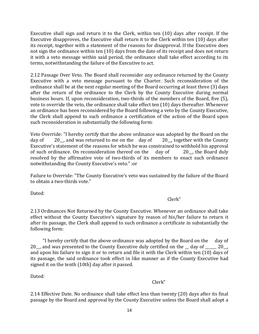Executive shall sign and return it to the Clerk, within ten (10) days after receipt. If the Executive disapproves, the Executive shall return it to the Clerk within ten (10) days after its receipt, together with a statement of the reasons for disapproval. If the Executive does not sign the ordinance within ten (10) days from the date of its receipt and does not return it with a veto message within said period, the ordinance shall take effect according to its terms, notwithstanding the failure of the Executive to act.

2.12 Passage Over Veto. The Board shall reconsider any ordinance returned by the County Executive with a veto message pursuant to the Charter. Such reconsideration of the ordinance shall be at the next regular meeting of the Board occurring at least three (3) days after the return of the ordinance to the Clerk by the County Executive during normal business hours. If, upon reconsideration, two-thirds of the members of the Board, five (5), vote to override the veto, the ordinance shall take effect ten (10) days thereafter. Whenever an ordinance has been reconsidered by the Board following a veto by the County Executive, the Clerk shall append to such ordinance a certification of the action of the Board upon such reconsideration in substantially the following form:

Veto Override: "I hereby certify that the above ordinance was adopted by the Board on the day of 20, together with the County 20 $\,$ , and was returned to me on the day of Executive's statement of the reasons for which he was constrained to withhold his approval<br>of such ordinance. On reconsideration thereof on the day of 20 the Board duly of such ordinance. On reconsideration thereof on the resolved by the affirmative vote of two-thirds of its members to enact such ordinance notwithstanding the County Executive's veto." :or

Failure to Override: "The County Executive's veto was sustained by the failure of the Board to obtain a two-thirds vote."

Dated:

### Clerk"

2.13 Ordinances Not Returned by the County Executive. Whenever an ordinance shall take effect without the County Executive's signature by reason of his/her failure to return it after its passage, the Clerk shall append to such ordinance a certificate in substantially the following form:

 "I hereby certify that the above ordinance was adopted by the Board on the day of 20, and was presented to the County Executive duly certified on the day of 20, and upon his failure to sign it or to return and file it with the Clerk within ten (10) days of its passage, the said ordinance took effect in like manner as if the County Executive had signed it on the tenth (10th) day after it passed.

Dated:

Clerk"

2.14 Effective Date. No ordinance shall take effect less than twenty (20) days after its final passage by the Board and approval by the County Executive unless the Board shall adopt a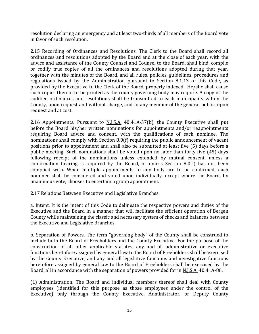resolution declaring an emergency and at least two-thirds of all members of the Board vote in favor of such resolution.

2.15 Recording of Ordinances and Resolutions. The Clerk to the Board shall record all ordinances and resolutions adopted by the Board and at the close of each year, with the advice and assistance of the County Counsel and Counsel to the Board, shall bind, compile or codify true copies of all the ordinances and resolutions adopted during that year, together with the minutes of the Board, and all rules, policies, guidelines, procedures and regulations issued by the Administration pursuant to Section 8.1.13 of this Code, as provided by the Executive to the Clerk of the Board, properly indexed. He/she shall cause such copies thereof to be printed as the county governing body may require. A copy of the codified ordinances and resolutions shall be transmitted to each municipality within the County, upon request and without charge, and to any member of the general public, upon request and at cost.

2.16 Appointments. Pursuant to  $N.I.S.A.$  40:41A-37(b), the County Executive shall put before the Board his/her written nominations for appointments and/or reappointments requiring Board advice and consent, with the qualifications of each nominee. The nominations shall comply with Section 8.0(f) requiring the public announcement of vacant positions prior to appointment and shall also be submitted at least five (5) days before a public meeting. Such nominations shall be voted upon no later than forty-five (45) days following receipt of the nominations unless extended by mutual consent, unless a confirmation hearing is required by the Board, or unless Section 8.0(f) has not been complied with. When multiple appointments to any body are to be confirmed, each nominee shall be considered and voted upon individually, except where the Board, by unanimous vote, chooses to entertain a group appointment.

2.17 Relations Between Executive and Legislative Branches.

a. Intent. It is the intent of this Code to delineate the respective powers and duties of the Executive and the Board in a manner that will facilitate the efficient operation of Bergen County while maintaining the classic and necessary system of checks and balances between the Executive and Legislative Branches.

b. Separation of Powers. The term "governing body" of the County shall be construed to include both the Board of Freeholders and the County Executive. For the purpose of the construction of all other applicable statutes, any and all administrative or executive functions heretofore assigned by general law to the Board of Freeholders shall be exercised by the County Executive, and any and all legislative functions and investigative functions heretofore assigned by general law to the Board of Freeholders shall be exercised by the Board, all in accordance with the separation of powers provided for in N.J.S.A. 40:41A-86.

(1) Administration. The Board and individual members thereof shall deal with County employees (identified for this purpose as those employees under the control of the Executive) only through the County Executive, Administrator, or Deputy County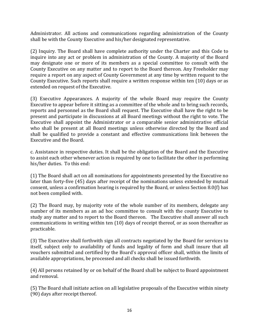Administrator. All actions and communications regarding administration of the County shall be with the County Executive and his/her designated representative.

(2) Inquiry. The Board shall have complete authority under the Charter and this Code to inquire into any act or problem in administration of the County. A majority of the Board may designate one or more of its members as a special committee to consult with the County Executive on any matter and to report to the Board thereon. Any Freeholder may require a report on any aspect of County Government at any time by written request to the County Executive. Such reports shall require a written response within ten (10) days or as extended on request of the Executive.

(3) Executive Appearances. A majority of the whole Board may require the County Executive to appear before it sitting as a committee of the whole and to bring such records, reports and personnel as the Board shall request. The Executive shall have the right to be present and participate in discussions at all Board meetings without the right to vote. The Executive shall appoint the Administrator or a comparable senior administrative official who shall be present at all Board meetings unless otherwise directed by the Board and shall be qualified to provide a constant and effective communications link between the Executive and the Board.

c. Assistance in respective duties. It shall be the obligation of the Board and the Executive to assist each other whenever action is required by one to facilitate the other in performing his/her duties. To this end:

(1) The Board shall act on all nominations for appointments presented by the Executive no later than forty-five (45) days after receipt of the nominations unless extended by mutual consent, unless a confirmation hearing is required by the Board, or unless Section 8.0(f) has not been complied with.

(2) The Board may, by majority vote of the whole number of its members, delegate any number of its members as an ad hoc committee to consult with the county Executive to study any matter and to report to the Board thereon. The Executive shall answer all such communications in writing within ten (10) days of receipt thereof, or as soon thereafter as practicable.

(3) The Executive shall forthwith sign all contracts negotiated by the Board for services to itself, subject only to availability of funds and legality of form and shall insure that all vouchers submitted and certified by the Board's approval officer shall, within the limits of available appropriations, be processed and all checks shall be issued forthwith.

(4) All persons retained by or on behalf of the Board shall be subject to Board appointment and removal.

(5) The Board shall initiate action on all legislative proposals of the Executive within ninety (90) days after receipt thereof.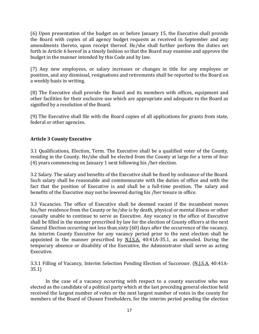(6) Upon presentation of the budget on or before January 15, the Executive shall provide the Board with copies of all agency budget requests as received in September and any amendments thereto, upon receipt thereof. He/she shall further perform the duties set forth in Article 6 hereof in a timely fashion so that the Board may examine and approve the budget in the manner intended by this Code and by law.

(7) Any new employees, or salary increases or changes in title for any employee or position, and any dismissal, resignations and retirements shall be reported to the Board on a weekly basis in writing.

(8) The Executive shall provide the Board and its members with offices, equipment and other facilities for their exclusive use which are appropriate and adequate to the Board as signified by a resolution of the Board.

(9) The Executive shall file with the Board copies of all applications for grants from state, federal or other agencies.

#### **Article 3 County Executive**

3.1 Qualifications, Election, Term. The Executive shall be a qualified voter of the County, residing in the County. He/she shall be elected from the County at large for a term of four (4) years commencing on January 1 next following his /her election.

3.2 Salary. The salary and benefits of the Executive shall be fixed by ordinance of the Board. Such salary shall be reasonable and commensurate with the duties of office and with the fact that the position of Executive is and shall be a full-time position. The salary and benefits of the Executive may not be lowered during his /her tenure in office.

3.3 Vacancies. The office of Executive shall be deemed vacant if the incumbent moves his/her residence from the County or he/she is by death, physical or mental illness or other casualty unable to continue to serve as Executive. Any vacancy in the office of Executive shall be filled in the manner prescribed by law for the election of County officers at the next General Election occurring not less than sixty (60) days after the occurrence of the vacancy. An interim County Executive for any vacancy period prior to the next election shall be appointed in the manner prescribed by N.J.S.A. 40:41A-35.1, as amended. During the temporary absence or disability of the Executive, the Administrator shall serve as acting Executive.

3.3.1 Filling of Vacancy, Interim Selection Pending Election of Successor. (N.J.S.A. 40:41A-35.1)

In the case of a vacancy occurring with respect to a county executive who was elected as the candidate of a political party which at the last preceding general election held received the largest number of votes or the next largest number of votes in the county for members of the Board of Chosen Freeholders, for the interim period pending the election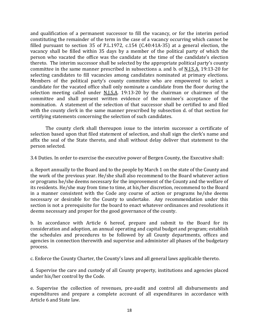and qualification of a permanent successor to fill the vacancy, or for the interim period constituting the remainder of the term in the case of a vacancy occurring which cannot be filled pursuant to section 35 of P.L.1972, c.154 (C.40:41A-35) at a general election, the vacancy shall be filled within 35 days by a member of the political party of which the person who vacated the office was the candidate at the time of the candidate's election thereto. The interim successor shall be selected by the appropriate political party's county committee in the same manner prescribed in subsections a. and b. of N.J.S.A. 19:13-20 for selecting candidates to fill vacancies among candidates nominated at primary elections. Members of the political party's county committee who are empowered to select a candidate for the vacated office shall only nominate a candidate from the floor during the selection meeting called under N.J.S.A. 19:13-20 by the chairman or chairmen of the committee and shall present written evidence of the nominee's acceptance of the nomination. A statement of the selection of that successor shall be certified to and filed with the county clerk in the same manner prescribed by subsection d. of that section for certifying statements concerning the selection of such candidates.

The county clerk shall thereupon issue to the interim successor a certificate of selection based upon that filed statement of selection, and shall sign the clerk's name and affix the seal of the State thereto, and shall without delay deliver that statement to the person selected.

3.4 Duties. In order to exercise the executive power of Bergen County, the Executive shall:

a. Report annually to the Board and to the people by March 1 on the state of the County and the work of the previous year. He/she shall also recommend to the Board whatever action or programs he/she deems necessary for the improvement of the County and the welfare of its residents. He/she may from time to time, at his/her discretion, recommend to the Board in a manner consistent with the Code any course of action or programs he/she deems necessary or desirable for the County to undertake. Any recommendation under this section is not a prerequisite for the board to enact whatever ordinances and resolutions it deems necessary and proper for the good governance of the county.

b. In accordance with Article 6 hereof, prepare and submit to the Board for its consideration and adoption, an annual operating and capital budget and program; establish the schedules and procedures to be followed by all County departments, offices and agencies in connection therewith and supervise and administer all phases of the budgetary process.

c. Enforce the County Charter, the County's laws and all general laws applicable thereto.

d. Supervise the care and custody of all County property, institutions and agencies placed under his/her control by the Code.

e. Supervise the collection of revenues, pre-audit and control all disbursements and expenditures and prepare a complete account of all expenditures in accordance with Article 6 and State law.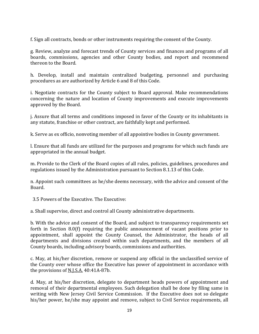f. Sign all contracts, bonds or other instruments requiring the consent of the County.

g. Review, analyze and forecast trends of County services and finances and programs of all boards, commissions, agencies and other County bodies, and report and recommend thereon to the Board.

h. Develop, install and maintain centralized budgeting, personnel and purchasing procedures as are authorized by Article 6 and 8 of this Code.

i. Negotiate contracts for the County subject to Board approval. Make recommendations concerning the nature and location of County improvements and execute improvements approved by the Board.

j. Assure that all terms and conditions imposed in favor of the County or its inhabitants in any statute, franchise or other contract, are faithfully kept and performed.

k. Serve as ex officio, nonvoting member of all appointive bodies in County government.

l. Ensure that all funds are utilized for the purposes and programs for which such funds are appropriated in the annual budget.

m. Provide to the Clerk of the Board copies of all rules, policies, guidelines, procedures and regulations issued by the Administration pursuant to Section 8.1.13 of this Code.

n. Appoint such committees as he/she deems necessary, with the advice and consent of the Board.

3.5 Powers of the Executive. The Executive:

a. Shall supervise, direct and control all County administrative departments.

b. With the advice and consent of the Board, and subject to transparency requirements set forth in Section 8.0(f) requiring the public announcement of vacant positions prior to appointment, shall appoint the County Counsel, the Administrator, the heads of all departments and divisions created within such departments, and the members of all County boards, including advisory boards, commissions and authorities.

c. May, at his/her discretion, remove or suspend any official in the unclassified service of the County over whose office the Executive has power of appointment in accordance with the provisions of N.J.S.A. 40:41A-87b.

d. May, at his/her discretion, delegate to department heads powers of appointment and removal of their departmental employees. Such delegation shall be done by filing same in writing with New Jersey Civil Service Commission. If the Executive does not so delegate his/her power, he/she may appoint and remove, subject to Civil Service requirements, all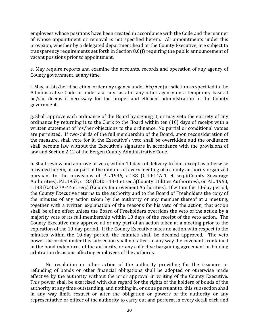employees whose positions have been created in accordance with the Code and the manner of whose appointment or removal is not specified herein. All appointments under this provision, whether by a delegated department head or the County Executive, are subject to transparency requirements set forth in Section 8.0(f) requiring the public announcement of vacant positions prior to appointment.

e. May require reports and examine the accounts, records and operation of any agency of County government, at any time.

f. May, at his/her discretion, order any agency under his/her jurisdiction as specified in the Administrative Code to undertake any task for any other agency on a temporary basis if he/she deems it necessary for the proper and efficient administration of the County government.

g. Shall approve each ordinance of the Board by signing it, or may veto the entirety of any ordinance by returning it to the Clerk to the Board within ten (10) days of receipt with a written statement of his/her objections to the ordinance. No partial or conditional vetoes are permitted. If two-thirds of the full membership of the Board, upon reconsideration of the measure, shall vote for it, the Executive's veto shall be overridden and the ordinance shall become law without the Executive's signature in accordance with the provisions of law and Section 2.12 of the Bergen County Administrative Code.

h. Shall review and approve or veto, within 10 days of delivery to him, except as otherwise provided herein, all or part of the minutes of every meeting of a county authority organized pursuant to the provisions of P.L.1946, c.138 (C.40:14A-1 et seq.)(County Sewerage Authorities), P.L.1957, c.183 (C.40:14B-1 et seq.)(County Utilities Authorities), or P.L. 1960, c.183 (C.40:37A-44 et seq.) (County Improvement Authorities). If within the 10-day period, the County Executive returns to the authority and to the Board of Freeholders the copy of the minutes of any action taken by the authority or any member thereof at a meeting, together with a written explanation of the reasons for his veto of the action, that action shall be of no effect unless the Board of Freeholders overrides the veto of the action by a majority vote of its full membership within 10 days of the receipt of the veto action. The County Executive may approve all or any part of an action taken at a meeting prior to the expiration of the 10-day period. If the County Executive takes no action with respect to the minutes within the 10-day period, the minutes shall be deemed approved. The veto powers accorded under this subsection shall not affect in any way the covenants contained in the bond indentures of the authority, or any collective bargaining agreement or binding arbitration decisions affecting employees of the authority.

No resolution or other action of the authority providing for the issuance or refunding of bonds or other financial obligations shall be adopted or otherwise made effective by the authority without the prior approval in writing of the County Executive. This power shall be exercised with due regard for the rights of the holders of bonds of the authority at any time outstanding, and nothing in, or done pursuant to, this subsection shall in any way limit, restrict or alter the obligation or powers of the authority or any representative or officer of the authority to carry out and perform in every detail each and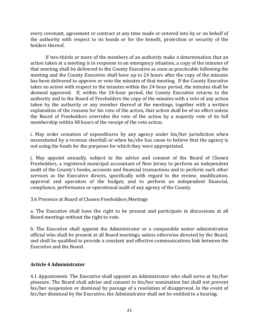every covenant, agreement or contract at any time made or entered into by or on behalf of the authority with respect to its bonds or for the benefit, protection or security of the holders thereof.

If two-thirds or more of the members of an authority make a determination that an action taken at a meeting is in response to an emergency situation, a copy of the minutes of that meeting shall be delivered to the County Executive as soon as practicable following the meeting and the County Executive shall have up to 24 hours after the copy of the minutes has been delivered to approve or veto the minutes of that meeting. If the County Executive takes no action with respect to the minutes within the 24-hour period, the minutes shall be deemed approved. If, within the 24-hour period, the County Executive returns to the authority and to the Board of Freeholders the copy of the minutes with a veto of any action taken by the authority or any member thereof at the meetings, together with a written explanation of the reasons for his veto of the action, that action shall be of no effect unless the Board of Freeholders overrides the veto of the action by a majority vote of its full membership within 48 hours of the receipt of the veto action.

i. May order cessation of expenditures by any agency under his/her jurisdiction when necessitated by a revenue shortfall or when he/she has cause to believe that the agency is not using the funds for the purposes for which they were appropriated.

j. May appoint annually, subject to the advice and consent of the Board of Chosen Freeholders, a registered municipal accountant of New Jersey to perform an independent audit of the County's books, accounts and financial transactions and to perform such other services as the Executive directs, specifically with regard to the review, modification, approval and operation of the budget; and to perform an independent financial, compliance, performance or operational audit of any agency of the County.

3.6 Presence at Board of Chosen Freeholders Meetings

a. The Executive shall have the right to be present and participate in discussions at all Board meetings without the right to vote.

b. The Executive shall appoint the Administrator or a comparable senior administrative official who shall be present at all Board meetings, unless otherwise directed by the Board, and shall be qualified to provide a constant and effective communications link between the Executive and the Board.

#### **Article 4 Administrator**

4.1 Appointment. The Executive shall appoint an Administrator who shall serve at his/her pleasure. The Board shall advise and consent to his/her nomination but shall not prevent his/her suspension or dismissal by passage of a resolution of disapproval. In the event of his/her dismissal by the Executive, the Administrator shall not be entitled to a hearing.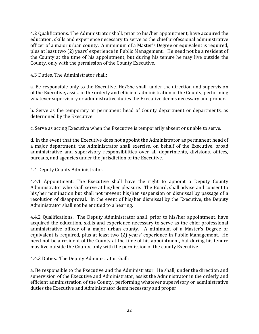4.2 Qualifications. The Administrator shall, prior to his/her appointment, have acquired the education, skills and experience necessary to serve as the chief professional administrative officer of a major urban county. A minimum of a Master's Degree or equivalent is required, plus at least two (2) years' experience in Public Management. He need not be a resident of the County at the time of his appointment, but during his tenure he may live outside the County, only with the permission of the County Executive.

4.3 Duties. The Administrator shall:

a. Be responsible only to the Executive. He/She shall, under the direction and supervision of the Executive, assist in the orderly and efficient administration of the County, performing whatever supervisory or administrative duties the Executive deems necessary and proper.

b. Serve as the temporary or permanent head of County department or departments, as determined by the Executive.

c. Serve as acting Executive when the Executive is temporarily absent or unable to serve.

d. In the event that the Executive does not appoint the Administrator as permanent head of a major department, the Administrator shall exercise, on behalf of the Executive, broad administrative and supervisory responsibilities over all departments, divisions, offices, bureaus, and agencies under the jurisdiction of the Executive.

4.4 Deputy County Administrator.

4.4.1 Appointment. The Executive shall have the right to appoint a Deputy County Administrator who shall serve at his/her pleasure. The Board, shall advise and consent to his/her nomination but shall not prevent his/her suspension or dismissal by passage of a resolution of disapproval. In the event of his/her dismissal by the Executive, the Deputy Administrator shall not be entitled to a hearing.

4.4.2 Qualifications. The Deputy Administrator shall, prior to his/her appointment, have acquired the education, skills and experience necessary to serve as the chief professional administrative officer of a major urban county. A minimum of a Master's Degree or equivalent is required, plus at least two (2) years' experience in Public Management. He need not be a resident of the County at the time of his appointment, but during his tenure may live outside the County, only with the permission of the county Executive.

4.4.3 Duties. The Deputy Administrator shall:

a. Be responsible to the Executive and the Administrator. He shall, under the direction and supervision of the Executive and Administrator, assist the Administrator in the orderly and efficient administration of the County, performing whatever supervisory or administrative duties the Executive and Administrator deem necessary and proper.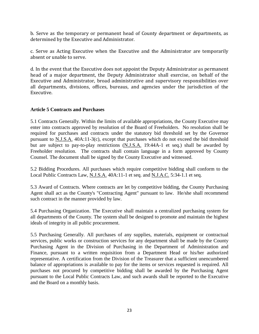b. Serve as the temporary or permanent head of County department or departments, as determined by the Executive and Administrator.

c. Serve as Acting Executive when the Executive and the Administrator are temporarily absent or unable to serve.

d. In the event that the Executive does not appoint the Deputy Administrator as permanent head of a major department, the Deputy Administrator shall exercise, on behalf of the Executive and Administrator, broad administrative and supervisory responsibilities over all departments, divisions, offices, bureaus, and agencies under the jurisdiction of the Executive.

#### **Article 5 Contracts and Purchases**

5.1 Contracts Generally. Within the limits of available appropriations, the County Executive may enter into contracts approved by resolution of the Board of Freeholders. No resolution shall be required for purchases and contracts under the statutory bid threshold set by the Governor pursuant to N.J.S.A. 40A:11-3(c), except that purchases which do not exceed the bid threshold but are subject to pay-to-play restrictions (N.J.S.A. 19:44A-1 et seq.) shall be awarded by Freeholder resolution. The contracts shall contain language in a form approved by County Counsel. The document shall be signed by the County Executive and witnessed.

5.2 Bidding Procedures. All purchases which require competitive bidding shall conform to the Local Public Contracts Law, N.J.S.A. 40A:11-1 et seq. and N.J.A.C. 5:34-1.1 et seq.

5.3 Award of Contracts. Where contracts are let by competitive bidding, the County Purchasing Agent shall act as the County's "Contracting Agent" pursuant to law. He/she shall recommend such contract in the manner provided by law.

5.4 Purchasing Organization. The Executive shall maintain a centralized purchasing system for all departments of the County. The system shall be designed to promote and maintain the highest ideals of integrity in all public procurement.

5.5 Purchasing Generally. All purchases of any supplies, materials, equipment or contractual services, public works or construction services for any department shall be made by the County Purchasing Agent in the Division of Purchasing in the Department of Administration and Finance, pursuant to a written requisition from a Department Head or his/her authorized representative. A certification from the Division of the Treasurer that a sufficient unencumbered balance of appropriations is available to pay for the items or services requested is required. All purchases not procured by competitive bidding shall be awarded by the Purchasing Agent pursuant to the Local Public Contracts Law, and such awards shall be reported to the Executive and the Board on a monthly basis.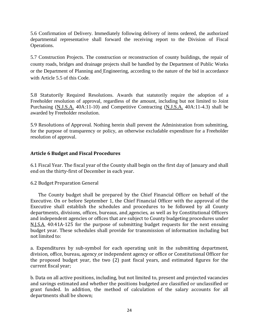5.6 Confirmation of Delivery. Immediately following delivery of items ordered, the authorized departmental representative shall forward the receiving report to the Division of Fiscal Operations.

5.7 Construction Projects. The construction or reconstruction of county buildings, the repair of county roads, bridges and drainage projects shall be handled by the Department of Public Works or the Department of Planning and Engineering, according to the nature of the bid in accordance with Article 5.5 of this Code.

5.8 Statutorily Required Resolutions. Awards that statutorily require the adoption of a Freeholder resolution of approval, regardless of the amount, including but not limited to Joint Purchasing (N.J.S.A. 40A:11-10) and Competitive Contracting (N.J.S.A. 40A:11-4.3) shall be awarded by Freeholder resolution.

5.9 Resolutions of Approval. Nothing herein shall prevent the Administration from submitting, for the purpose of transparency or policy, an otherwise excludable expenditure for a Freeholder resolution of approval.

#### **Article 6 Budget and Fiscal Procedures**

6.1 Fiscal Year. The fiscal year of the County shall begin on the first day of January and shall end on the thirty-first of December in each year.

#### 6.2 Budget Preparation General

 The County budget shall be prepared by the Chief Financial Officer on behalf of the Executive. On or before September 1, the Chief Financial Officer with the approval of the Executive shall establish the schedules and procedures to be followed by all County departments, divisions, offices, bureaus, and agencies, as well as by Constitutional Officers and independent agencies or offices that are subject to County budgeting procedures under N.J.S.A. 40:41A-125 for the purpose of submitting budget requests for the next ensuing budget year. These schedules shall provide for transmission of information including but not limited to:

a. Expenditures by sub-symbol for each operating unit in the submitting department, division, office, bureau, agency or independent agency or office or Constitutional Officer for the proposed budget year, the two (2) past fiscal years, and estimated figures for the current fiscal year;

b. Data on all active positions, including, but not limited to, present and projected vacancies and savings estimated and whether the positions budgeted are classified or unclassified or grant funded. In addition, the method of calculation of the salary accounts for all departments shall be shown;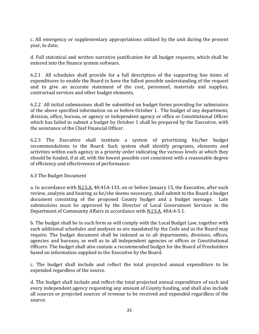c. All emergency or supplementary appropriations utilized by the unit during the present year, to date;

d. Full statistical and written narrative justification for all budget requests, which shall be entered into the finance system software.

6.2.1 All schedules shall provide for a full description of the supporting line items of expenditures to enable the Board to have the fullest possible understanding of the request and to give an accurate statement of the cost, personnel, materials and supplies, contractual services and other budget elements.

6.2.2 All initial submissions shall be submitted on budget forms providing for submission of the above specified information on or before October 1. The budget of any department, division, office, bureau, or agency or independent agency or office or Constitutional Officer which has failed to submit a budget by October 1 shall be prepared by the Executive, with the assistance of the Chief Financial Officer.

6.2.3 The Executive shall institute a system of prioritizing his/her budget recommendations to the Board. Such system shall identify programs, elements and activities within each agency in a priority order indicating the various levels at which they should be funded, if at all, with the lowest possible cost consistent with a reasonable degree of efficiency and effectiveness of performance.

#### 6.3 The Budget Document

a. In accordance with N.J.S.A. 40:41A-133, on or before January 15, the Executive, after such review, analysis and hearing as he/she deems necessary, shall submit to the Board a budget document consisting of the proposed County budget and a budget message. Late submissions must be approved by the Director of Local Government Services in the Department of Community Affairs in accordance with N.J.S.A. 40A:4-5.1.

b. The budget shall be in such form as will comply with the Local Budget Law, together with such additional schedules and analyses as are mandated by the Code and as the Board may require. The budget document shall be indexed as to all departments, divisions, offices, agencies and bureaus, as well as to all independent agencies or offices or Constitutional Officers. The budget shall also contain a recommended budget for the Board of Freeholders based on information supplied to the Executive by the Board.

c. The budget shall include and reflect the total projected annual expenditure to be expended regardless of the source.

d. The budget shall include and reflect the total projected annual expenditure of each and every independent agency requesting any amount of County funding, and shall also include all sources or projected sources of revenue to be received and expended regardless of the source.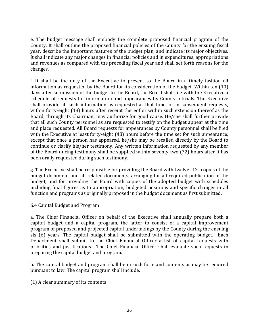e. The budget message shall embody the complete proposed financial program of the County. It shall outline the proposed financial policies of the County for the ensuing fiscal year, describe the important features of the budget plan, and indicate its major objectives. It shall indicate any major changes in financial policies and in expenditures, appropriations and revenues as compared with the preceding fiscal year and shall set forth reasons for the changes.

f. It shall be the duty of the Executive to present to the Board in a timely fashion all information as requested by the Board for its consideration of the budget. Within ten (10) days after submission of the budget to the Board, the Board shall file with the Executive a schedule of requests for information and appearances by County officials. The Executive shall provide all such information as requested at that time, or in subsequent requests, within forty-eight (48) hours after receipt thereof or within such extension thereof as the Board, through its Chairman, may authorize for good cause. He/she shall further provide that all such County personnel as are requested to testify on the budget appear at the time and place requested. All Board requests for appearances by County personnel shall be filed with the Executive at least forty-eight (48) hours before the time set for such appearance, except that once a person has appeared, he/she may be recalled directly by the Board to continue or clarify his/her testimony. Any written information requested by any member of the Board during testimony shall be supplied within seventy-two (72) hours after it has been orally requested during such testimony.

g. The Executive shall be responsible for providing the Board with twelve (12) copies of the budget document and all related documents, arranging for all required publication of the budget, and for providing the Board with copies of the adopted budget with schedules including final figures as to appropriation, budgeted positions and specific changes in all function and programs as originally proposed in the budget document as first submitted.

6.4 Capital Budget and Program

a. The Chief Financial Officer on behalf of the Executive shall annually prepare both a capital budget and a capital program, the latter to consist of a capital improvement program of proposed and projected capital undertakings by the County during the ensuing six (6) years. The capital budget shall be submitted with the operating budget. Each Department shall submit to the Chief Financial Officer a list of capital requests with priorities and justifications. The Chief Financial Officer shall evaluate such requests in preparing the capital budget and program.

b. The capital budget and program shall be in such form and contents as may be required pursuant to law. The capital program shall include:

(1) A clear summary of its contents;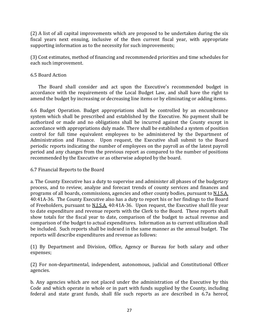(2) A list of all capital improvements which are proposed to be undertaken during the six fiscal years next ensuing, inclusive of the then current fiscal year, with appropriate supporting information as to the necessity for such improvements;

(3) Cost estimates, method of financing and recommended priorities and time schedules for each such improvement.

#### 6.5 Board Action

 The Board shall consider and act upon the Executive's recommended budget in accordance with the requirements of the Local Budget Law, and shall have the right to amend the budget by increasing or decreasing line items or by eliminating or adding items.

6.6 Budget Operation. Budget appropriations shall be controlled by an encumbrance system which shall be prescribed and established by the Executive. No payment shall be authorized or made and no obligations shall be incurred against the County except in accordance with appropriations duly made. There shall be established a system of position control for full time equivalent employees to be administered by the Department of Administration and Finance. Upon request, the Executive shall submit to the Board periodic reports indicating the number of employees on the payroll as of the latest payroll period and any changes from the previous report as compared to the number of positions recommended by the Executive or as otherwise adopted by the board.

#### 6.7 Financial Reports to the Board

a. The County Executive has a duty to supervise and administer all phases of the budgetary process, and to review, analyze and forecast trends of county services and finances and programs of all boards, commissions, agencies and other county bodies, pursuant to N.J.S.A. 40:41A-36. The County Executive also has a duty to report his or her findings to the Board of Freeholders, pursuant to  $N.I.S.A.$  40:41A-36. Upon request, the Executive shall file year to date expenditure and revenue reports with the Clerk to the Board. These reports shall show totals for the fiscal year to date, comparison of the budget to actual revenue and comparison of the budget to actual expenditures. Information as to current utilization shall be included. Such reports shall be indexed in the same manner as the annual budget. The reports will describe expenditures and revenue as follows:

(1) By Department and Division, Office, Agency or Bureau for both salary and other expenses;

(2) For non-departmental, independent, autonomous, judicial and Constitutional Officer agencies.

 b. Any agencies which are not placed under the administration of the Executive by this Code and which operate in whole or in part with funds supplied by the County, including federal and state grant funds, shall file such reports as are described in 6.7a hereof,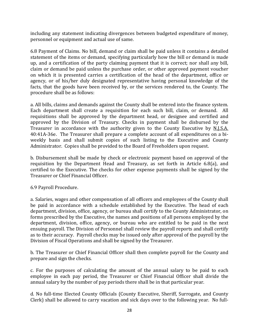including any statement indicating divergences between budgeted expenditure of money, personnel or equipment and actual use of same.

6.8 Payment of Claims. No bill, demand or claim shall be paid unless it contains a detailed statement of the items or demand, specifying particularly how the bill or demand is made up, and a certification of the party claiming payment that it is correct; nor shall any bill, claim or demand be paid unless the purchase order, or other approved payment voucher on which it is presented carries a certification of the head of the department, office or agency, or of his/her duly designated representative having personal knowledge of the facts, that the goods have been received by, or the services rendered to, the County. The procedure shall be as follows:

a. All bills, claims and demands against the County shall be entered into the finance system. Each department shall create a requisition for each such bill, claim, or demand. All requisitions shall be approved by the department head, or designee and certified and approved by the Division of Treasury. Checks in payment shall be disbursed by the Treasurer in accordance with the authority given to the County Executive by N.J.S.A. 40:41A-36e. The Treasurer shall prepare a complete account of all expenditures on a biweekly basis and shall submit copies of such listing to the Executive and County Administrator. Copies shall be provided to the Board of Freeholders upon request.

b. Disbursement shall be made by check or electronic payment based on approval of the requisition by the Department Head and Treasury, as set forth in Article 6.8(a), and certified to the Executive. The checks for other expense payments shall be signed by the Treasurer or Chief Financial Officer.

#### 6.9 Payroll Procedure.

a. Salaries, wages and other compensation of all officers and employees of the County shall be paid in accordance with a schedule established by the Executive. The head of each department, division, office, agency, or bureau shall certify to the County Administrator, on forms prescribed by the Executive, the names and positions of all persons employed by the department, division, office, agency, or bureau who are entitled to be paid in the next ensuing payroll. The Division of Personnel shall review the payroll reports and shall certify as to their accuracy. Payroll checks may be issued only after approval of the payroll by the Division of Fiscal Operations and shall be signed by the Treasurer.

b. The Treasurer or Chief Financial Officer shall then complete payroll for the County and prepare and sign the checks.

c. For the purposes of calculating the amount of the annual salary to be paid to each employee in each pay period, the Treasurer or Chief Financial Officer shall divide the annual salary by the number of pay periods there shall be in that particular year.

d. No full-time Elected County Officials (County Executive, Sheriff, Surrogate, and County Clerk) shall be allowed to carry vacation and sick days over to the following year. No full-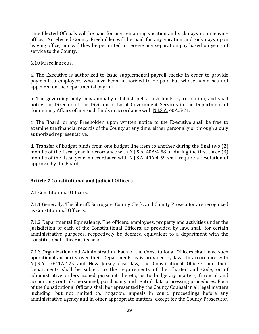time Elected Officials will be paid for any remaining vacation and sick days upon leaving office. No elected County Freeholder will be paid for any vacation and sick days upon leaving office, nor will they be permitted to receive any separation pay based on years of service to the County.

6.10 Miscellaneous.

a. The Executive is authorized to issue supplemental payroll checks in order to provide payment to employees who have been authorized to be paid but whose name has not appeared on the departmental payroll.

b. The governing body may annually establish petty cash funds by resolution, and shall notify the Director of the Division of Local Government Services in the Department of Community Affairs of any such funds in accordance with N.J.S.A. 40A:5-21.

c. The Board, or any Freeholder, upon written notice to the Executive shall be free to examine the financial records of the County at any time, either personally or through a duly authorized representative.

d. Transfer of budget funds from one budget line item to another during the final two (2) months of the fiscal year in accordance with <u>N.J.S.A.</u> 40A:4-58 or during the first three (3) months of the fiscal year in accordance with N.J.S.A. 40A:4-59 shall require a resolution of approval by the Board.

#### **Article 7 Constitutional and Judicial Officers**

7.1 Constitutional Officers.

7.1.1 Generally. The Sheriff, Surrogate, County Clerk, and County Prosecutor are recognized as Constitutional Officers.

7.1.2 Departmental Equivalency. The officers, employees, property and activities under the jurisdiction of each of the Constitutional Officers, as provided by law, shall, for certain administrative purposes, respectively be deemed equivalent to a department with the Constitutional Officer as its head.

7.1.3 Organization and Administration. Each of the Constitutional Officers shall have such operational authority over their Departments as is provided by law. In accordance with N.J.S.A. 40:41A-125 and New Jersey case law, the Constitutional Officers and their Departments shall be subject to the requirements of the Charter and Code, or of administrative orders issued pursuant thereto, as to budgetary matters, financial and accounting controls, personnel, purchasing, and central data processing procedures. Each of the Constitutional Officers shall be represented by the County Counsel in all legal matters including, but not limited to, litigation, appeals in court, proceedings before any administrative agency and in other appropriate matters, except for the County Prosecutor,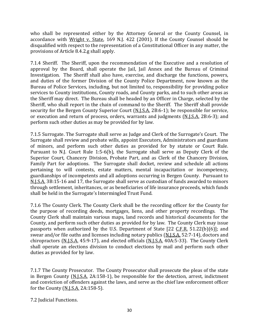who shall be represented either by the Attorney General or the County Counsel, in accordance with Wright v. State, 169 N.J. 422 (2001). If the County Counsel should be disqualified with respect to the representation of a Constitutional Officer in any matter, the provisions of Article 8.4.2.g shall apply.

7.1.4 Sheriff. The Sheriff, upon the recommendation of the Executive and a resolution of approval by the Board, shall operate the Jail, Jail Annex and the Bureau of Criminal Investigation. The Sheriff shall also have, exercise, and discharge the functions, powers, and duties of the former Division of the County Police Department, now known as the Bureau of Police Services, including, but not limited to, responsibility for providing police services to County institutions, County roads, and County parks, and to such other areas as the Sheriff may direct. The Bureau shall be headed by an Officer in Charge, selected by the Sheriff, who shall report in the chain of command to the Sheriff. The Sheriff shall provide security for the Bergen County Superior Court (N.J.S.A. 2B:6-1); be responsible for service, or execution and return of process, orders, warrants and judgments (N.J.S.A. 2B:6-3); and perform such other duties as may be provided for by law.

7.1.5 Surrogate. The Surrogate shall serve as Judge and Clerk of the Surrogate's Court. The Surrogate shall review and probate wills, appoint Executors, Administrators and guardians of minors, and perform such other duties as provided for by statute or Court Rule. Pursuant to N.J. Court Rule 1:5-6(b), the Surrogate shall serve as Deputy Clerk of the Superior Court, Chancery Division, Probate Part, and as Clerk of the Chancery Division, Family Part for adoptions. The Surrogate shall docket, review and schedule all actions pertaining to will contests, estate matters, mental incapacitation or incompetency, guardianships of incompetents and all adoptions occurring in Bergen County. Pursuant to N.J.S.A. 3B:15-16 and 17, the Surrogate shall serve as custodian of funds awarded to minors through settlement, inheritances, or as beneficiaries of life insurance proceeds, which funds shall be held in the Surrogate's Intermingled Trust Fund.

7.1.6 The County Clerk. The County Clerk shall be the recording officer for the County for the purpose of recording deeds, mortgages, liens, and other property recordings. The County Clerk shall maintain various maps, land records and historical documents for the County, and perform such other duties as provided for by law. The County Clerk may issue passports when authorized by the U.S. Department of State [22 C.F.R. 51.22(b)(6)]; and swear and/or file oaths and licenses including notary publics (N.J.S.A. 52:7-14), doctors and chiropractors (N.J.S.A. 45:9-17), and elected officials (N.J.S.A. 40A:5-33). The County Clerk shall operate an elections division to conduct elections by mail and perform such other duties as provided for by law.

7.1.7 The County Prosecutor. The County Prosecutor shall prosecute the pleas of the state in Bergen County (N.J.S.A. 2A:158-1), be responsible for the detection, arrest, indictment and conviction of offenders against the laws, and serve as the chief law enforcement officer for the County (N.J.S.A. 2A:158-5).

7.2 Judicial Functions.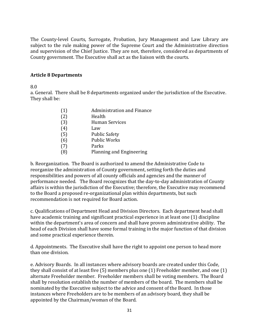The County-level Courts, Surrogate, Probation, Jury Management and Law Library are subject to the rule making power of the Supreme Court and the Administrative direction and supervision of the Chief Justice. They are not, therefore, considered as departments of County government. The Executive shall act as the liaison with the courts.

#### **Article 8 Departments**

8.0

a. General. There shall be 8 departments organized under the jurisdiction of the Executive. They shall be:

| (1) | <b>Administration and Finance</b> |
|-----|-----------------------------------|
| (2) | Health                            |
| (3) | Human Services                    |
| (4) | Law                               |
| (5) | <b>Public Safety</b>              |
| (6) | <b>Public Works</b>               |
| (7) | Parks                             |
|     | Planning and Engineering          |

b. Reorganization. The Board is authorized to amend the Administrative Code to reorganize the administration of County government, setting forth the duties and responsibilities and powers of all county officials and agencies and the manner of performance needed. The Board recognizes that the day-to-day administration of County affairs is within the jurisdiction of the Executive; therefore, the Executive may recommend to the Board a proposed re-organizational plan within departments, but such recommendation is not required for Board action.

c. Qualifications of Department Head and Division Directors. Each department head shall have academic training and significant practical experience in at least one (1) discipline within the department's area of concern and shall have proven administrative ability. The head of each Division shall have some formal training in the major function of that division and some practical experience therein.

d. Appointments. The Executive shall have the right to appoint one person to head more than one division.

e. Advisory Boards. In all instances where advisory boards are created under this Code, they shall consist of at least five (5) members plus one (1) Freeholder member, and one (1) alternate Freeholder member. Freeholder members shall be voting members. The Board shall by resolution establish the number of members of the board. The members shall be nominated by the Executive subject to the advice and consent of the Board. In those instances where Freeholders are to be members of an advisory board, they shall be appointed by the Chairman/woman of the Board.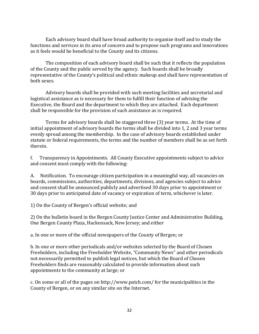Each advisory board shall have broad authority to organize itself and to study the functions and services in its area of concern and to propose such programs and innovations as it feels would be beneficial to the County and its citizens.

The composition of each advisory board shall be such that it reflects the population of the County and the public served by the agency. Such boards shall be broadly representative of the County's political and ethnic makeup and shall have representation of both sexes.

Advisory boards shall be provided with such meeting facilities and secretarial and logistical assistance as is necessary for them to fulfill their function of advising the Executive, the Board and the department to which they are attached. Each department shall be responsible for the provision of such assistance as is required.

Terms for advisory boards shall be staggered three (3) year terms. At the time of initial appointment of advisory boards the terms shall be divided into 1, 2 and 3 year terms evenly spread among the membership. In the case of advisory boards established under statute or federal requirements, the terms and the number of members shall be as set forth therein.

f. Transparency in Appointments. All County Executive appointments subject to advice and consent must comply with the following:

A. Notification. To encourage citizen participation in a meaningful way, all vacancies on boards, commissions, authorities, departments, divisions, and agencies subject to advice and consent shall be announced publicly and advertised 30 days prior to appointment or 30 days prior to anticipated date of vacancy or expiration of term, whichever is later.

1) On the County of Bergen's official website; and

2) On the bulletin board in the Bergen County Justice Center and Administrative Building, One Bergen County Plaza, Hackensack, New Jersey; and either

a. In one or more of the official newspapers of the County of Bergen; or

b. In one or more other periodicals and/or websites selected by the Board of Chosen Freeholders, including the Freeholder Website, "Community News" and other periodicals not necessarily permitted to publish legal notices, but which the Board of Chosen Freeholders finds are reasonably calculated to provide information about such appointments to the community at large; or

c. On some or all of the pages on http://www.patch.com/ for the municipalities in the County of Bergen, or on any similar site on the Internet.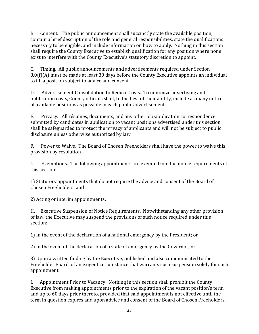B. Content. The public announcement shall succinctly state the available position, contain a brief description of the role and general responsibilities, state the qualifications necessary to be eligible, and include information on how to apply. Nothing in this section shall require the County Executive to establish qualification for any position where none exist to interfere with the County Executive's statutory discretion to appoint.

C. Timing. All public announcements and advertisements required under Section 8.0(f)(A) must be made at least 30 days before the County Executive appoints an individual to fill a position subject to advice and consent.

D. Advertisement Consolidation to Reduce Costs. To minimize advertising and publication costs, County officials shall, to the best of their ability, include as many notices of available positions as possible in each public advertisement.

E. Privacy. All résumés, documents, and any other job-application correspondence submitted by candidates in application to vacant positions advertised under this section shall be safeguarded to protect the privacy of applicants and will not be subject to public disclosure unless otherwise authorized by law.

F. Power to Waive. The Board of Chosen Freeholders shall have the power to waive this provision by resolution.

G. Exemptions. The following appointments are exempt from the notice requirements of this section:

1) Statutory appointments that do not require the advice and consent of the Board of Chosen Freeholders; and

2) Acting or interim appointments;

H. Executive Suspension of Notice Requirements. Notwithstanding any other provision of law, the Executive may suspend the provisions of such notice required under this section:

1) In the event of the declaration of a national emergency by the President; or

2) In the event of the declaration of a state of emergency by the Governor; or

3) Upon a written finding by the Executive, published and also communicated to the Freeholder Board, of an exigent circumstance that warrants such suspension solely for such appointment.

I. Appointment Prior to Vacancy. Nothing in this section shall prohibit the County Executive from making appointments prior to the expiration of the vacant position's term and up to 60 days prior thereto, provided that said appointment is not effective until the term in question expires and upon advice and consent of the Board of Chosen Freeholders.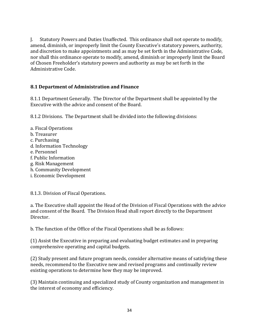J. Statutory Powers and Duties Unaffected. This ordinance shall not operate to modify, amend, diminish, or improperly limit the County Executive's statutory powers, authority, and discretion to make appointments and as may be set forth in the Administrative Code, nor shall this ordinance operate to modify, amend, diminish or improperly limit the Board of Chosen Freeholder's statutory powers and authority as may be set forth in the Administrative Code.

#### **8.1 Department of Administration and Finance**

8.1.1 Department Generally. The Director of the Department shall be appointed by the Executive with the advice and consent of the Board.

8.1.2 Divisions. The Department shall be divided into the following divisions:

a. Fiscal Operations b. Treasurer c. Purchasing d. Information Technology e. Personnel f. Public Information g. Risk Management h. Community Development i. Economic Development

8.1.3. Division of Fiscal Operations.

a. The Executive shall appoint the Head of the Division of Fiscal Operations with the advice and consent of the Board. The Division Head shall report directly to the Department Director.

b. The function of the Office of the Fiscal Operations shall be as follows:

(1) Assist the Executive in preparing and evaluating budget estimates and in preparing comprehensive operating and capital budgets.

(2) Study present and future program needs, consider alternative means of satisfying these needs, recommend to the Executive new and revised programs and continually review existing operations to determine how they may be improved.

(3) Maintain continuing and specialized study of County organization and management in the interest of economy and efficiency.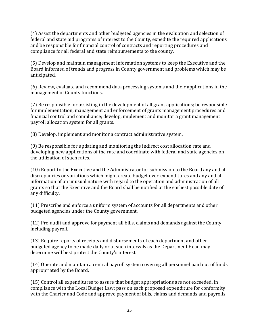(4) Assist the departments and other budgeted agencies in the evaluation and selection of federal and state aid programs of interest to the County, expedite the required applications and be responsible for financial control of contracts and reporting procedures and compliance for all federal and state reimbursements to the county.

(5) Develop and maintain management information systems to keep the Executive and the Board informed of trends and progress in County government and problems which may be anticipated.

(6) Review, evaluate and recommend data processing systems and their applications in the management of County functions.

(7) Be responsible for assisting in the development of all grant applications; be responsible for implementation, management and enforcement of grants management procedures and financial control and compliance; develop, implement and monitor a grant management payroll allocation system for all grants.

(8) Develop, implement and monitor a contract administrative system.

(9) Be responsible for updating and monitoring the indirect cost allocation rate and developing new applications of the rate and coordinate with federal and state agencies on the utilization of such rates.

(10) Report to the Executive and the Administrator for submission to the Board any and all discrepancies or variations which might create budget over-expenditures and any and all information of an unusual nature with regard to the operation and administration of all grants so that the Executive and the Board shall be notified at the earliest possible date of any difficulty.

(11) Prescribe and enforce a uniform system of accounts for all departments and other budgeted agencies under the County government.

(12) Pre-audit and approve for payment all bills, claims and demands against the County, including payroll.

(13) Require reports of receipts and disbursements of each department and other budgeted agency to be made daily or at such intervals as the Department Head may determine will best protect the County's interest.

(14) Operate and maintain a central payroll system covering all personnel paid out of funds appropriated by the Board.

(15) Control all expenditures to assure that budget appropriations are not exceeded, in compliance with the Local Budget Law; pass on each proposed expenditure for conformity with the Charter and Code and approve payment of bills, claims and demands and payrolls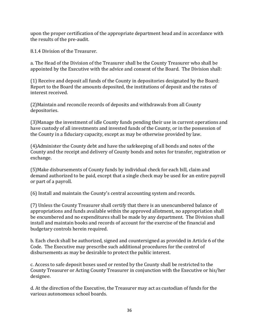upon the proper certification of the appropriate department head and in accordance with the results of the pre-audit.

8.1.4 Division of the Treasurer.

a. The Head of the Division of the Treasurer shall be the County Treasurer who shall be appointed by the Executive with the advice and consent of the Board. The Division shall:

(1) Receive and deposit all funds of the County in depositories designated by the Board: Report to the Board the amounts deposited, the institutions of deposit and the rates of interest received.

(2)Maintain and reconcile records of deposits and withdrawals from all County depositories.

(3)Manage the investment of idle County funds pending their use in current operations and have custody of all investments and invested funds of the County, or in the possession of the County in a fiduciary capacity, except as may be otherwise provided by law.

(4)Administer the County debt and have the safekeeping of all bonds and notes of the County and the receipt and delivery of County bonds and notes for transfer, registration or exchange.

(5)Make disbursements of County funds by individual check for each bill, claim and demand authorized to be paid, except that a single check may be used for an entire payroll or part of a payroll.

(6) Install and maintain the County's central accounting system and records.

(7) Unless the County Treasurer shall certify that there is an unencumbered balance of appropriations and funds available within the approved allotment, no appropriation shall be encumbered and no expenditures shall be made by any department. The Division shall install and maintain books and records of account for the exercise of the financial and budgetary controls herein required.

b. Each check shall be authorized, signed and countersigned as provided in Article 6 of the Code. The Executive may prescribe such additional procedures for the control of disbursements as may be desirable to protect the public interest.

c. Access to safe deposit boxes used or rented by the County shall be restricted to the County Treasurer or Acting County Treasurer in conjunction with the Executive or his/her designee.

d. At the direction of the Executive, the Treasurer may act as custodian of funds for the various autonomous school boards.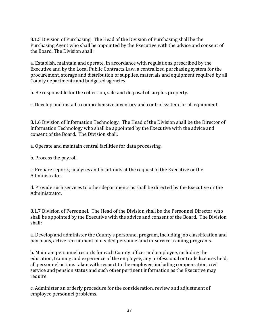8.1.5 Division of Purchasing. The Head of the Division of Purchasing shall be the Purchasing Agent who shall be appointed by the Executive with the advice and consent of the Board. The Division shall:

a. Establish, maintain and operate, in accordance with regulations prescribed by the Executive and by the Local Public Contracts Law, a centralized purchasing system for the procurement, storage and distribution of supplies, materials and equipment required by all County departments and budgeted agencies.

b. Be responsible for the collection, sale and disposal of surplus property.

c. Develop and install a comprehensive inventory and control system for all equipment.

8.1.6 Division of Information Technology. The Head of the Division shall be the Director of Information Technology who shall be appointed by the Executive with the advice and consent of the Board. The Division shall:

a. Operate and maintain central facilities for data processing.

b. Process the payroll.

c. Prepare reports, analyses and print-outs at the request of the Executive or the Administrator.

d. Provide such services to other departments as shall be directed by the Executive or the Administrator.

8.1.7 Division of Personnel. The Head of the Division shall be the Personnel Director who shall be appointed by the Executive with the advice and consent of the Board. The Division shall:

a. Develop and administer the County's personnel program, including job classification and pay plans, active recruitment of needed personnel and in-service training programs.

b. Maintain personnel records for each County officer and employee, including the education, training and experience of the employee, any professional or trade licenses held, all personnel actions taken with respect to the employee, including compensation, civil service and pension status and such other pertinent information as the Executive may require.

c. Administer an orderly procedure for the consideration, review and adjustment of employee personnel problems.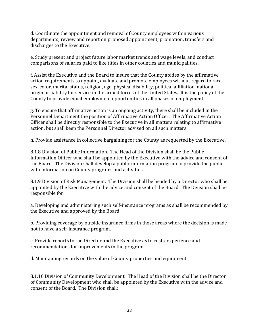d. Coordinate the appointment and removal of County employees within various departments; review and report on proposed appointment, promotion, transfers and discharges to the Executive.

e. Study present and project future labor market trends and wage levels, and conduct comparisons of salaries paid to like titles in other counties and municipalities.

f. Assist the Executive and the Board to insure that the County abides by the affirmative action requirements to appoint, evaluate and promote employees without regard to race, sex, color, marital status, religion, age, physical disability, political affiliation, national origin or liability for service in the armed forces of the United States. It is the policy of the County to provide equal employment opportunities in all phases of employment.

g. To ensure that affirmative action is an ongoing activity, there shall be included in the Personnel Department the position of Affirmative Action Officer. The Affirmative Action Officer shall be directly responsible to the Executive in all matters relating to affirmative action, but shall keep the Personnel Director advised on all such matters.

h. Provide assistance in collective bargaining for the County as requested by the Executive.

8.1.8 Division of Public Information. The Head of the Division shall be the Public Information Officer who shall be appointed by the Executive with the advice and consent of the Board. The Division shall develop a public information program to provide the public with information on County programs and activities.

8.1.9 Division of Risk Management. The Division shall be headed by a Director who shall be appointed by the Executive with the advice and consent of the Board. The Division shall be responsible for:

a. Developing and administering such self-insurance programs as shall be recommended by the Executive and approved by the Board.

b. Providing coverage by outside insurance firms in those areas where the decision is made not to have a self-insurance program.

c. Provide reports to the Director and the Executive as to costs, experience and recommendations for improvements in the program.

d. Maintaining records on the value of County properties and equipment.

8.1.10 Division of Community Development. The Head of the Division shall be the Director of Community Development who shall be appointed by the Executive with the advice and consent of the Board. The Division shall: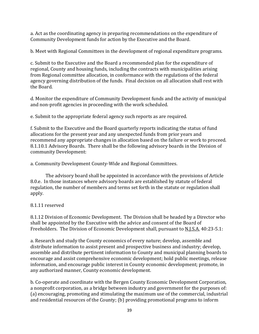a. Act as the coordinating agency in preparing recommendations on the expenditure of Community Development funds for action by the Executive and the Board.

b. Meet with Regional Committees in the development of regional expenditure programs.

c. Submit to the Executive and the Board a recommended plan for the expenditure of regional, County and housing funds, including the contracts with municipalities arising from Regional committee allocation, in conformance with the regulations of the federal agency governing distribution of the funds. Final decision on all allocation shall rest with the Board.

d. Monitor the expenditure of Community Development funds and the activity of municipal and non-profit agencies in proceeding with the work scheduled.

e. Submit to the appropriate federal agency such reports as are required.

f. Submit to the Executive and the Board quarterly reports indicating the status of fund allocations for the present year and any unexpected funds from prior years and recommend any appropriate changes in allocation based on the failure or work to proceed. 8.1.10.1 Advisory Boards. There shall be the following advisory boards in the Division of community Development:

a. Community Development County-Wide and Regional Committees.

The advisory board shall be appointed in accordance with the provisions of Article 8.0.e. In those instances where advisory boards are established by statute of federal regulation, the number of members and terms set forth in the statute or regulation shall apply.

# 8.1.11 reserved

8.1.12 Division of Economic Development. The Division shall be headed by a Director who shall be appointed by the Executive with the advice and consent of the Board of Freeholders. The Division of Economic Development shall, pursuant to N.J.S.A. 40:23-5.1:

a. Research and study the County economics of every nature; develop, assemble and distribute information to assist present and prospective business and industry; develop, assemble and distribute pertinent information to County and municipal planning boards to encourage and assist comprehensive economic development; hold public meetings, release information, and encourage public interest in County economic development; promote, in any authorized manner, County economic development.

b. Co-operate and coordinate with the Bergen County Economic Development Corporation, a nonprofit corporation, as a bridge between industry and government for the purposes of: (a) encouraging, promoting and stimulating the maximum use of the commercial, industrial and residential resources of the County; (b) providing promotional programs to inform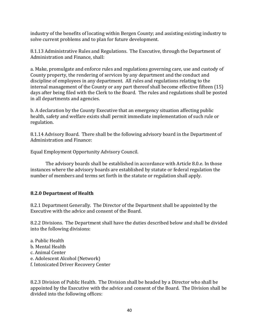industry of the benefits of locating within Bergen County; and assisting existing industry to solve current problems and to plan for future development.

8.1.13 Administrative Rules and Regulations. The Executive, through the Department of Administration and Finance, shall:

a. Make, promulgate and enforce rules and regulations governing care, use and custody of County property, the rendering of services by any department and the conduct and discipline of employees in any department. All rules and regulations relating to the internal management of the County or any part thereof shall become effective fifteen (15) days after being filed with the Clerk to the Board. The rules and regulations shall be posted in all departments and agencies.

b. A declaration by the County Executive that an emergency situation affecting public health, safety and welfare exists shall permit immediate implementation of such rule or regulation.

8.1.14 Advisory Board. There shall be the following advisory board in the Department of Administration and Finance:

Equal Employment Opportunity Advisory Council.

The advisory boards shall be established in accordance with Article 8.0.e. In those instances where the advisory boards are established by statute or federal regulation the number of members and terms set forth in the statute or regulation shall apply.

# **8.2.0 Department of Health**

8.2.1 Department Generally. The Director of the Department shall be appointed by the Executive with the advice and consent of the Board.

8.2.2 Divisions. The Department shall have the duties described below and shall be divided into the following divisions:

a. Public Health b. Mental Health c. Animal Center e. Adolescent Alcohol (Network) f. Intoxicated Driver Recovery Center

8.2.3 Division of Public Health. The Division shall be headed by a Director who shall be appointed by the Executive with the advice and consent of the Board. The Division shall be divided into the following offices: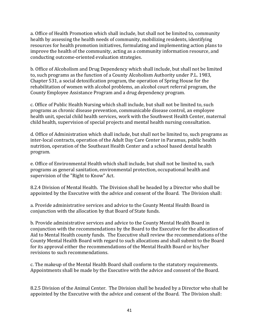a. Office of Health Promotion which shall include, but shall not be limited to, community health by assessing the health needs of community, mobilizing residents, identifying resources for health promotion initiatives, formulating and implementing action plans to improve the health of the community, acting as a community information resource, and conducting outcome-oriented evaluation strategies.

b. Office of Alcoholism and Drug Dependency which shall include, but shall not be limited to, such programs as the function of a County Alcoholism Authority under P.L. 1983, Chapter 531, a social detoxification program, the operation of Spring House for the rehabilitation of women with alcohol problems, an alcohol court referral program, the County Employee Assistance Program and a drug dependency program.

c. Office of Public Health Nursing which shall include, but shall not be limited to, such programs as chronic disease prevention, communicable disease control, an employee health unit, special child health services, work with the Southwest Health Center, maternal child health, supervision of special projects and mental health nursing consultation.

d. Office of Administration which shall include, but shall not be limited to, such programs as inter-local contracts, operation of the Adult Day Care Center in Paramus, public health nutrition, operation of the Southeast Health Center and a school based dental health program.

e. Office of Environmental Health which shall include, but shall not be limited to, such programs as general sanitation, environmental protection, occupational health and supervision of the "Right to Know" Act.

8.2.4 Division of Mental Health. The Division shall be headed by a Director who shall be appointed by the Executive with the advice and consent of the Board. The Division shall:

a. Provide administrative services and advice to the County Mental Health Board in conjunction with the allocation by that Board of State funds.

b. Provide administrative services and advice to the County Mental Health Board in conjunction with the recommendations by the Board to the Executive for the allocation of Aid to Mental Health county funds. The Executive shall review the recommendations of the County Mental Health Board with regard to such allocations and shall submit to the Board for its approval either the recommendations of the Mental Health Board or his/her revisions to such recommendations.

c. The makeup of the Mental Health Board shall conform to the statutory requirements. Appointments shall be made by the Executive with the advice and consent of the Board.

8.2.5 Division of the Animal Center. The Division shall be headed by a Director who shall be appointed by the Executive with the advice and consent of the Board. The Division shall: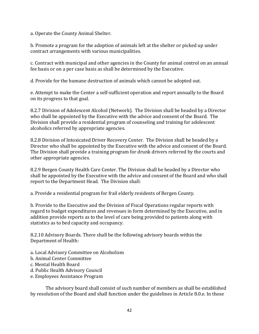a. Operate the County Animal Shelter.

b. Promote a program for the adoption of animals left at the shelter or picked up under contract arrangements with various municipalities.

c. Contract with municipal and other agencies in the County for animal control on an annual fee basis or on a per case basis as shall be determined by the Executive.

d. Provide for the humane destruction of animals which cannot be adopted out.

e. Attempt to make the Center a self-sufficient operation and report annually to the Board on its progress to that goal.

8.2.7 Division of Adolescent Alcohol (Network). The Division shall be headed by a Director who shall be appointed by the Executive with the advice and consent of the Board. The Division shall provide a residential program of counseling and training for adolescent alcoholics referred by appropriate agencies.

8.2.8 Division of Intoxicated Driver Recovery Center. The Division shall be headed by a Director who shall be appointed by the Executive with the advice and consent of the Board. The Division shall provide a training program for drunk drivers referred by the courts and other appropriate agencies.

8.2.9 Bergen County Health Care Center. The Division shall be headed by a Director who shall be appointed by the Executive with the advice and consent of the Board and who shall report to the Department Head. The Division shall:

a. Provide a residential program for frail elderly residents of Bergen County.

b. Provide to the Executive and the Division of Fiscal Operations regular reports with regard to budget expenditures and revenues in form determined by the Executive, and in addition provide reports as to the level of care being provided to patients along with statistics as to bed capacity and occupancy.

8.2.10 Advisory Boards. There shall be the following advisory boards within the Department of Health:

a. Local Advisory Committee on Alcoholism

- b. Animal Center Committee
- c. Mental Health Board
- d. Public Health Advisory Council
- e. Employees Assistance Program

The advisory board shall consist of such number of members as shall be established by resolution of the Board and shall function under the guidelines in Article 8.0.e. In those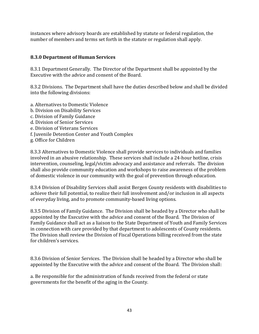instances where advisory boards are established by statute or federal regulation, the number of members and terms set forth in the statute or regulation shall apply.

### **8.3.0 Department of Human Services**

8.3.1 Department Generally. The Director of the Department shall be appointed by the Executive with the advice and consent of the Board.

8.3.2 Divisions. The Department shall have the duties described below and shall be divided into the following divisions:

- a. Alternatives to Domestic Violence
- b. Division on Disability Services
- c. Division of Family Guidance
- d. Division of Senior Services
- e. Division of Veterans Services
- f. Juvenile Detention Center and Youth Complex
- g. Office for Children

8.3.3 Alternatives to Domestic Violence shall provide services to individuals and families involved in an abusive relationship. These services shall include a 24-hour hotline, crisis intervention, counseling, legal/victim advocacy and assistance and referrals. The division shall also provide community education and workshops to raise awareness of the problem of domestic violence in our community with the goal of prevention through education.

8.3.4 Division of Disability Services shall assist Bergen County residents with disabilities to achieve their full potential, to realize their full involvement and/or inclusion in all aspects of everyday living, and to promote community-based living options.

8.3.5 Division of Family Guidance. The Division shall be headed by a Director who shall be appointed by the Executive with the advice and consent of the Board. The Division of Family Guidance shall act as a liaison to the State Department of Youth and Family Services in connection with care provided by that department to adolescents of County residents. The Division shall review the Division of Fiscal Operations billing received from the state for children's services.

8.3.6 Division of Senior Services. The Division shall be headed by a Director who shall be appointed by the Executive with the advice and consent of the Board. The Division shall:

a. Be responsible for the administration of funds received from the federal or state governments for the benefit of the aging in the County.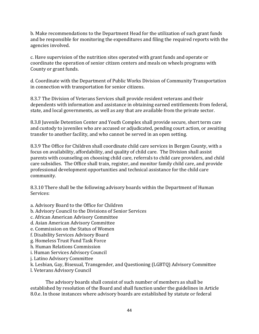b. Make recommendations to the Department Head for the utilization of such grant funds and be responsible for monitoring the expenditures and filing the required reports with the agencies involved.

c. Have supervision of the nutrition sites operated with grant funds and operate or coordinate the operation of senior citizen centers and meals on wheels programs with County or grant funds.

d. Coordinate with the Department of Public Works Division of Community Transportation in connection with transportation for senior citizens.

8.3.7 The Division of Veterans Services shall provide resident veterans and their dependents with information and assistance in obtaining earned entitlements from federal, state, and local governments, as well as any that are available from the private sector.

8.3.8 Juvenile Detention Center and Youth Complex shall provide secure, short term care and custody to juveniles who are accused or adjudicated, pending court action, or awaiting transfer to another facility, and who cannot be served in an open setting.

8.3.9 The Office for Children shall coordinate child care services in Bergen County, with a focus on availability, affordability, and quality of child care. The Division shall assist parents with counseling on choosing child care, referrals to child care providers, and child care subsidies. The Office shall train, register, and monitor family child care, and provide professional development opportunities and technical assistance for the child care community.

8.3.10 There shall be the following advisory boards within the Department of Human Services:

a. Advisory Board to the Office for Children

- b. Advisory Council to the Divisions of Senior Services
- c. African American Advisory Committee
- d. Asian American Advisory Committee

e. Commission on the Status of Women

f. Disability Services Advisory Board

g. Homeless Trust Fund Task Force

h. Human Relations Commission

- i. Human Services Advisory Council
- j. Latino Advisory Committee

k. Lesbian, Gay, Bisexual, Transgender, and Questioning (LGBTQ) Advisory Committee

l. Veterans Advisory Council

The advisory boards shall consist of such number of members as shall be established by resolution of the Board and shall function under the guidelines in Article 8.0.e. In those instances where advisory boards are established by statute or federal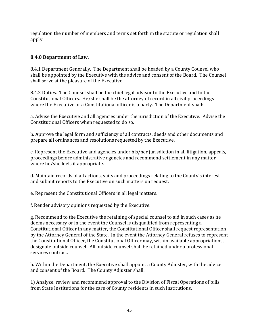regulation the number of members and terms set forth in the statute or regulation shall apply.

# **8.4.0 Department of Law.**

8.4.1 Department Generally. The Department shall be headed by a County Counsel who shall be appointed by the Executive with the advice and consent of the Board. The Counsel shall serve at the pleasure of the Executive.

8.4.2 Duties. The Counsel shall be the chief legal advisor to the Executive and to the Constitutional Officers. He/she shall be the attorney of record in all civil proceedings where the Executive or a Constitutional officer is a party. The Department shall:

a. Advise the Executive and all agencies under the jurisdiction of the Executive. Advise the Constitutional Officers when requested to do so.

b. Approve the legal form and sufficiency of all contracts, deeds and other documents and prepare all ordinances and resolutions requested by the Executive.

c. Represent the Executive and agencies under his/her jurisdiction in all litigation, appeals, proceedings before administrative agencies and recommend settlement in any matter where he/she feels it appropriate.

d. Maintain records of all actions, suits and proceedings relating to the County's interest and submit reports to the Executive on such matters on request.

e. Represent the Constitutional Officers in all legal matters.

f. Render advisory opinions requested by the Executive.

g. Recommend to the Executive the retaining of special counsel to aid in such cases as he deems necessary or in the event the Counsel is disqualified from representing a Constitutional Officer in any matter, the Constitutional Officer shall request representation by the Attorney General of the State. In the event the Attorney General refuses to represent the Constitutional Officer, the Constitutional Officer may, within available appropriations, designate outside counsel. All outside counsel shall be retained under a professional services contract.

h. Within the Department, the Executive shall appoint a County Adjuster, with the advice and consent of the Board. The County Adjuster shall:

1) Analyze, review and recommend approval to the Division of Fiscal Operations of bills from State Institutions for the care of County residents in such institutions.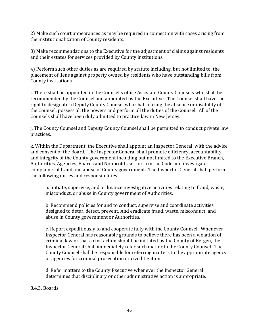2) Make such court appearances as may be required in connection with cases arising from the institutionalization of County residents.

3) Make recommendations to the Executive for the adjustment of claims against residents and their estates for services provided by County institutions.

4) Perform such other duties as are required by statute including, but not limited to, the placement of liens against property owned by residents who have outstanding bills from County institutions.

i. There shall be appointed in the Counsel's office Assistant County Counsels who shall be recommended by the Counsel and appointed by the Executive. The Counsel shall have the right to designate a Deputy County Counsel who shall, during the absence or disability of the Counsel, possess all the powers and perform all the duties of the Counsel. All of the Counsels shall have been duly admitted to practice law in New Jersey.

j. The County Counsel and Deputy County Counsel shall be permitted to conduct private law practices.

k. Within the Department, the Executive shall appoint an Inspector General, with the advice and consent of the Board. The Inspector General shall promote efficiency, accountability, and integrity of the County government including but not limited to the Executive Branch, Authorities, Agencies, Boards and Nonprofits set forth in the Code and investigate complaints of fraud and abuse of County government. The Inspector General shall perform the following duties and responsibilities:

a. Initiate, supervise, and ordinance investigative activities relating to fraud, waste, misconduct, or abuse in County government of Authorities.

b. Recommend policies for and to conduct, supervise and coordinate activities designed to deter, detect, prevent. And eradicate fraud, waste, misconduct, and abuse in County government or Authorities.

c. Report expeditiously to and cooperate fully with the County Counsel. Whenever Inspector General has reasonable grounds to believe there has been a violation of criminal law or that a civil action should be initiated by the County of Bergen, the Inspector General shall immediately refer such matter to the County Counsel. The County Counsel shall be responsible for referring matters to the appropriate agency or agencies for criminal prosecution or civil litigation.

d. Refer matters to the County Executive whenever the Inspector General determines that disciplinary or other administrative action is appropriate.

#### 8.4.3. Boards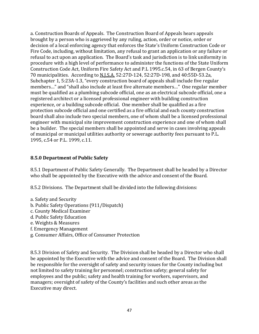a. Construction Boards of Appeals. The Construction Board of Appeals hears appeals brought by a person who is aggrieved by any ruling, action, order or notice, order or decision of a local enforcing agency that enforces the State's Uniform Construction Code or Fire Code, including, without limitation, any refusal to grant an application or any failure or refusal to act upon an application. The Board's task and jurisdiction is to link uniformity in procedure with a high level of performance to administer the functions of the State Uniform Construction Code Act, Uniform Fire Safety Act and P.L 1995.c.54, in 63 of Bergen County's 70 municipalities. According to N.J.S.A. 52:27D-124, 52:27D-198, and 40:55D-53.2a, Subchapter 1, 5:23A-1.3, "every construction board of appeals shall include five regular members…" and "shall also include at least five alternate members…" One regular member must be qualified as a plumbing subcode official, one as an electrical subcode official, one a registered architect or a licensed professional engineer with building construction experience, or a building subcode official. One member shall be qualified as a fire protection subcode official and one certified as a fire official and each county construction board shall also include two special members, one of whom shall be a licensed professional engineer with municipal site improvement construction experience and one of whom shall be a builder. The special members shall be appointed and serve in cases involving appeals of municipal or municipal utilities authority or sewerage authority fees pursuant to P.L. 1995, c.54 or P.L. 1999, c.11.

### **8.5.0 Department of Public Safety**

8.5.1 Department of Public Safety Generally. The Department shall be headed by a Director who shall be appointed by the Executive with the advice and consent of the Board.

8.5.2 Divisions. The Department shall be divided into the following divisions:

- a. Safety and Security
- b. Public Safety Operations (911/Dispatch)
- c. County Medical Examiner
- d. Public Safety Education
- e. Weights & Measures
- f. Emergency Management
- g. Consumer Affairs, Office of Consumer Protection

8.5.3 Division of Safety and Security. The Division shall be headed by a Director who shall be appointed by the Executive with the advice and consent of the Board. The Division shall be responsible for the oversight of safety and security issues for the County including but not limited to safety training for personnel; construction safety; general safety for employees and the public; safety and health training for workers, supervisors, and managers; oversight of safety of the County's facilities and such other areas as the Executive may direct.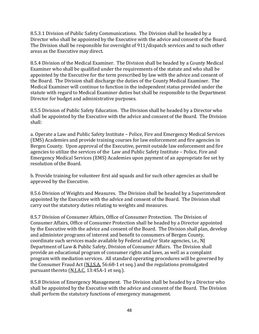8.5.3.1 Division of Public Safety Communications. The Division shall be headed by a Director who shall be appointed by the Executive with the advice and consent of the Board. The Division shall be responsible for oversight of 911/dispatch services and to such other areas as the Executive may direct.

8.5.4 Division of the Medical Examiner. The Division shall be headed by a County Medical Examiner who shall be qualified under the requirements of the statute and who shall be appointed by the Executive for the term prescribed by law with the advice and consent of the Board. The Division shall discharge the duties of the County Medical Examiner. The Medical Examiner will continue to function in the independent status provided under the statute with regard to Medical Examiner duties but shall be responsible to the Department Director for budget and administrative purposes.

8.5.5 Division of Public Safety Education. The Division shall be headed by a Director who shall be appointed by the Executive with the advice and consent of the Board. The Division shall:

a. Operate a Law and Public Safety Institute – Police, Fire and Emergency Medical Services (EMS) Academies and provide training courses for law enforcement and fire agencies in Bergen County. Upon approval of the Executive, permit outside law enforcement and fire agencies to utilize the services of the Law and Public Safety Institute – Police, Fire and Emergency Medical Services (EMS) Academies upon payment of an appropriate fee set by resolution of the Board.

b. Provide training for volunteer first aid squads and for such other agencies as shall be approved by the Executive.

8.5.6 Division of Weights and Measures. The Division shall be headed by a Superintendent appointed by the Executive with the advice and consent of the Board. The Division shall carry out the statutory duties relating to weights and measures.

8.5.7 Division of Consumer Affairs, Office of Consumer Protection. The Division of Consumer Affairs, Office of Consumer Protection shall be headed by a Director appointed by the Executive with the advice and consent of the Board. The Division shall plan, develop and administer programs of interest and benefit to consumers of Bergen County, coordinate such services made available by Federal and/or State agencies, i.e., NJ Department of Law & Public Safety, Division of Consumer Affairs. The Division shall provide an educational program of consumer rights and laws, as well as a complaint program with mediation services. All standard operating procedures will be governed by the Consumer Fraud Act (N.J.S.A. 56:68-1 et seq.) and the regulations promulgated pursuant thereto (N.J.A.C. 13:45A-1 et seq.).

8.5.8 Division of Emergency Management. The Division shall be headed by a Director who shall be appointed by the Executive with the advice and consent of the Board. The Division shall perform the statutory functions of emergency management.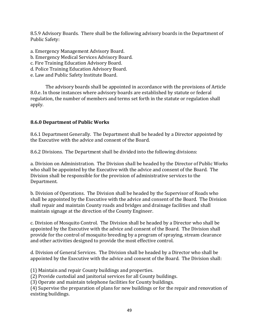8.5.9 Advisory Boards. There shall be the following advisory boards in the Department of Public Safety:

- a. Emergency Management Advisory Board.
- b. Emergency Medical Services Advisory Board.
- c. Fire Training Education Advisory Board.
- d. Police Training Education Advisory Board.
- e. Law and Public Safety Institute Board.

The advisory boards shall be appointed in accordance with the provisions of Article 8.0.e. In those instances where advisory boards are established by statute or federal regulation, the number of members and terms set forth in the statute or regulation shall apply.

# **8.6.0 Department of Public Works**

8.6.1 Department Generally. The Department shall be headed by a Director appointed by the Executive with the advice and consent of the Board.

8.6.2 Divisions. The Department shall be divided into the following divisions:

a. Division on Administration. The Division shall be headed by the Director of Public Works who shall be appointed by the Executive with the advice and consent of the Board. The Division shall be responsible for the provision of administrative services to the Department.

b. Division of Operations. The Division shall be headed by the Supervisor of Roads who shall be appointed by the Executive with the advice and consent of the Board. The Division shall repair and maintain County roads and bridges and drainage facilities and shall maintain signage at the direction of the County Engineer.

c. Division of Mosquito Control. The Division shall be headed by a Director who shall be appointed by the Executive with the advice and consent of the Board. The Division shall provide for the control of mosquito breeding by a program of spraying, stream clearance and other activities designed to provide the most effective control.

d. Division of General Services. The Division shall be headed by a Director who shall be appointed by the Executive with the advice and consent of the Board. The Division shall:

(1) Maintain and repair County buildings and properties.

(2) Provide custodial and janitorial services for all County buildings.

(3) Operate and maintain telephone facilities for County buildings.

(4) Supervise the preparation of plans for new buildings or for the repair and renovation of existing buildings.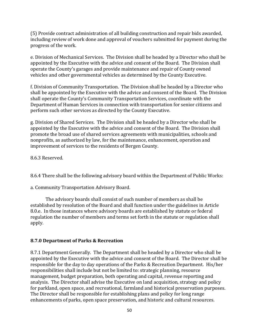(5) Provide contract administration of all building construction and repair bids awarded, including review of work done and approval of vouchers submitted for payment during the progress of the work.

e. Division of Mechanical Services. The Division shall be headed by a Director who shall be appointed by the Executive with the advice and consent of the Board. The Division shall operate the County's garages and provide maintenance and repair of County owned vehicles and other governmental vehicles as determined by the County Executive.

f. Division of Community Transportation. The Division shall be headed by a Director who shall be appointed by the Executive with the advice and consent of the Board. The Division shall operate the County's Community Transportation Services, coordinate with the Department of Human Services in connection with transportation for senior citizens and perform such other services as directed by the County Executive.

g. Division of Shared Services. The Division shall be headed by a Director who shall be appointed by the Executive with the advice and consent of the Board. The Division shall promote the broad use of shared services agreements with municipalities, schools and nonprofits, as authorized by law, for the maintenance, enhancement, operation and improvement of services to the residents of Bergen County.

8.6.3 Reserved.

8.6.4 There shall be the following advisory board within the Department of Public Works:

a. Community Transportation Advisory Board.

The advisory boards shall consist of such number of members as shall be established by resolution of the Board and shall function under the guidelines in Article 8.0.e. In those instances where advisory boards are established by statute or federal regulation the number of members and terms set forth in the statute or regulation shall apply.

# **8.7.0 Department of Parks & Recreation**

8.7.1 Department Generally. The Department shall be headed by a Director who shall be appointed by the Executive with the advice and consent of the Board. The Director shall be responsible for the day to day operations of the Parks & Recreation Department. His/her responsibilities shall include but not be limited to: strategic planning, resource management, budget preparation, both operating and capital, revenue reporting and analysis. The Director shall advise the Executive on land acquisition, strategy and policy for parkland, open space, and recreational, farmland and historical preservation purposes. The Director shall be responsible for establishing plans and policy for long range enhancements of parks, open space preservation, and historic and cultural resources.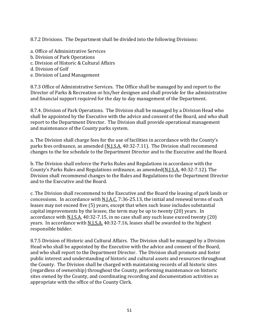8.7.2 Divisions. The Department shall be divided into the following Divisions:

- a. Office of Administrative Services
- b. Division of Park Operations
- c. Division of Historic & Cultural Affairs
- d. Division of Golf
- e. Division of Land Management

8.7.3 Office of Administrative Services. The Office shall be managed by and report to the Director of Parks & Recreation or his/her designee and shall provide for the administrative and financial support required for the day to day management of the Department.

8.7.4. Division of Park Operations. The Division shall be managed by a Division Head who shall be appointed by the Executive with the advice and consent of the Board, and who shall report to the Department Director. The Division shall provide operational management and maintenance of the County parks system.

a. The Division shall charge fees for the use of facilities in accordance with the County's parks fees ordinance, as amended (N.J.S.A. 40:32-7.11). The Division shall recommend changes to the fee schedule to the Department Director and to the Executive and the Board.

b. The Division shall enforce the Parks Rules and Regulations in accordance with the County's Parks Rules and Regulations ordinance, as amended(N.J.S.A. 40:32-7.12). The Division shall recommend changes to the Rules and Regulations to the Department Director and to the Executive and the Board.

c. The Division shall recommend to the Executive and the Board the leasing of park lands or concessions. In accordance with N.J.A.C. 7:36-25.13, the initial and renewal terms of such leases may not exceed five (5) years, except that when such lease includes substantial capital improvements by the lessee, the term may be up to twenty (20) years. In accordance with N.J.S.A. 40:32-7.15, in no case shall any such lease exceed twenty (20) years. In accordance with N.J.S.A. 40:32-7.16, leases shall be awarded to the highest responsible bidder.

8.7.5 Division of Historic and Cultural Affairs. The Division shall be managed by a Division Head who shall be appointed by the Executive with the advice and consent of the Board, and who shall report to the Department Director. The Division shall promote and foster public interest and understanding of historic and cultural assets and resources throughout the County. The Division shall be charged with maintaining records of all historic sites (regardless of ownership) throughout the County, performing maintenance on historic sites owned by the County, and coordinating recording and documentation activities as appropriate with the office of the County Clerk.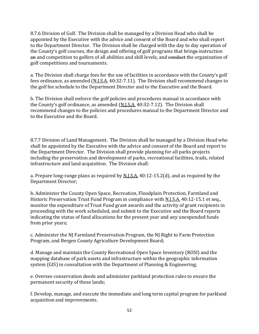8.7.6 Division of Golf. The Division shall be managed by a Division Head who shall be appointed by the Executive with the advice and consent of the Board and who shall report to the Department Director. The Division shall be charged with the day to day operation of the County's golf courses, the design and offering of golf programs that brings instruction an and competition to golfers of all abilities and skill levels, and conduct the organization of golf competitions and tournaments.

a. The Division shall charge fees for the use of facilities in accordance with the County's golf fees ordinance, as amended (N.J.S.A. 40:32-7.11). The Division shall recommend changes to the golf fee schedule to the Department Director and to the Executive and the Board.

b. The Division shall enforce the golf policies and procedures manual in accordance with the County's golf ordinance, as amended (N.J.S.A. 40:32-7.12). The Division shall recommend changes to the policies and procedures manual to the Department Director and to the Executive and the Board.

8.7.7 Division of Land Management. The Division shall be managed by a Division Head who shall be appointed by the Executive with the advice and consent of the Board and report to the Department Director. The Division shall provide planning for all parks projects including the preservation and development of parks, recreational facilities, trails, related infrastructure and land acquisition. The Division shall:

a. Prepare long-range plans as required by N.J.S.A. 40:12-15.2(d), and as required by the Department Director;

b. Administer the County Open Space, Recreation, Floodplain Protection, Farmland and Historic Preservation Trust Fund Program in compliance with N.J.S.A. 40:12-15.1 et seq., monitor the expenditure of Trust Fund grant awards and the activity of grant recipients in proceeding with the work scheduled, and submit to the Executive and the Board reports indicating the status of fund allocations for the present year and any unexpended funds from prior years;

c. Administer the NJ Farmland Preservation Program, the NJ Right to Farm Protection Program, and Bergen County Agriculture Development Board;

d. Manage and maintain the County Recreational Open Space Inventory (ROSI) and the mapping database of park assets and infrastructure within the geographic information system (GIS) in consultation with the Department of Planning & Engineering;

e. Oversee conservation deeds and administer parkland protection rules to ensure the permanent security of these lands;

f. Develop, manage, and execute the immediate and long term capital program for parkland acquisition and improvements.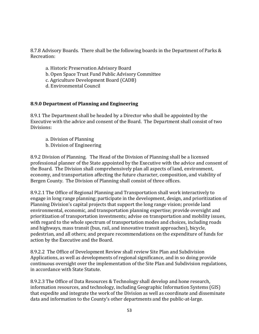8.7.8 Advisory Boards. There shall be the following boards in the Department of Parks & Recreation:

- a. Historic Preservation Advisory Board
- b. Open Space Trust Fund Public Advisory Committee
- c. Agriculture Development Board (CADB)
- d. Environmental Council

#### **8.9.0 Department of Planning and Engineering**

8.9.1 The Department shall be headed by a Director who shall be appointed by the Executive with the advice and consent of the Board. The Department shall consist of two Divisions:

- a. Division of Planning
- b. Division of Engineering

8.9.2 Division of Planning. The Head of the Division of Planning shall be a licensed professional planner of the State appointed by the Executive with the advice and consent of the Board. The Division shall comprehensively plan all aspects of land, environment, economy, and transportation affecting the future character, composition, and viability of Bergen County. The Division of Planning shall consist of three offices.

8.9.2.1 The Office of Regional Planning and Transportation shall work interactively to engage in long range planning; participate in the development, design, and prioritization of Planning Division's capital projects that support the long range vision; provide land environmental, economic, and transportation planning expertise; provide oversight and prioritization of transportation investments; advise on transportation and mobility issues, with regard to the whole spectrum of transportation modes and choices, including roads and highways, mass transit (bus, rail, and innovative transit approaches), bicycle, pedestrian, and all others; and prepare recommendations on the expenditure of funds for action by the Executive and the Board.

8.9.2.2 The Office of Development Review shall review Site Plan and Subdivision Applications, as well as developments of regional significance, and in so doing provide continuous oversight over the implementation of the Site Plan and Subdivision regulations, in accordance with State Statute.

8.9.2.3 The Office of Data Resources & Technology shall develop and hone research, information resources, and technology, including Geographic Information Systems (GIS) that expedite and integrate the work of the Division as well as coordinate and disseminate data and information to the County's other departments and the public-at-large.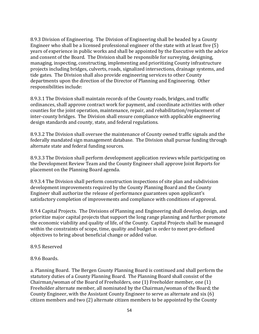8.9.3 Division of Engineering. The Division of Engineering shall be headed by a County Engineer who shall be a licensed professional engineer of the state with at least five (5) years of experience in public works and shall be appointed by the Executive with the advice and consent of the Board. The Division shall be responsible for surveying, designing, managing, inspecting, constructing, implementing and prioritizing County infrastructure projects including bridges, culverts, roads, signalized intersections, drainage systems, and tide gates. The Division shall also provide engineering services to other County departments upon the direction of the Director of Planning and Engineering. Other responsibilities include:

8.9.3.1 The Division shall maintain records of the County roads, bridges, and traffic ordinances, shall approve contract work for payment, and coordinate activities with other counties for the joint operation, maintenance, repair, and rehabilitation/replacement of inter-county bridges. The Division shall ensure compliance with applicable engineering design standards and county, state, and federal regulations.

8.9.3.2 The Division shall oversee the maintenance of County owned traffic signals and the federally mandated sign management database. The Division shall pursue funding through alternate state and federal funding sources.

8.9.3.3 The Division shall perform development application reviews while participating on the Development Review Team and the County Engineer shall approve Joint Reports for placement on the Planning Board agenda.

8.9.3.4 The Division shall perform construction inspections of site plan and subdivision development improvements required by the County Planning Board and the County Engineer shall authorize the release of performance guarantees upon applicant's satisfactory completion of improvements and compliance with conditions of approval.

8.9.4 Capital Projects. The Divisions of Planning and Engineering shall develop, design, and prioritize major capital projects that support the long range planning and further promote the economic viability and quality of life, of the County. Capital Projects shall be managed within the constraints of scope, time, quality and budget in order to meet pre-defined objectives to bring about beneficial change or added value.

#### 8.9.5 Reserved

#### 8.9.6 Boards.

a. Planning Board. The Bergen County Planning Board is continued and shall perform the statutory duties of a County Planning Board. The Planning Board shall consist of the Chairman/woman of the Board of Freeholders, one (1) Freeholder member, one (1) Freeholder alternate member, all nominated by the Chairman/woman of the Board; the County Engineer, with the Assistant County Engineer to serve as alternate and six (6) citizen members and two (2) alternate citizen members to be appointed by the County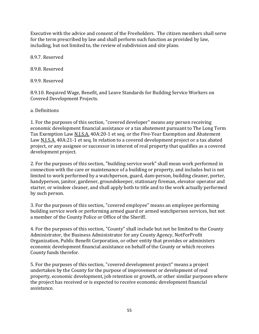Executive with the advice and consent of the Freeholders. The citizen members shall serve for the term prescribed by law and shall perform such function as provided by law, including, but not limited to, the review of subdivision and site plans.

8.9.7. Reserved

8.9.8. Reserved

8.9.9. Reserved

8.9.10. Required Wage, Benefit, and Leave Standards for Building Service Workers on Covered Development Projects.

a. Definitions

1. For the purposes of this section, "covered developer" means any person receiving economic development financial assistance or a tax abatement pursuant to The Long Term Tax Exemption Law N.J.S.A. 40A:20-1 et seq. or the Five-Year Exemption and Abatement Law N.J.S.A. 40A:21-1 et seq. In relation to a covered development project or a tax abated project, or any assignee or successor in interest of real property that qualifies as a covered development project.

2. For the purposes of this section, "building service work" shall mean work performed in connection with the care or maintenance of a building or property, and includes but is not limited to work performed by a watchperson, guard, dam-person, building cleaner, porter, handyperson, janitor, gardener, groundskeeper, stationary fireman, elevator operator and starter, or window cleaner, and shall apply both to title and to the work actually performed by such person.

3. For the purposes of this section, "covered employee" means an employee performing building service work or performing armed guard or armed watchperson services, but not a member of the County Police or Office of the Sheriff.

4. For the purposes of this section, "County" shall include but not be limited to the County Administrator, the Business Administrator for any County Agency, NotForProfit Organization, Public Benefit Corporation, or other entity that provides or administers economic development financial assistance on behalf of the County or which receives County funds therefor.

5. For the purposes of this section, "covered development project" means a project undertaken by the County for the purpose of improvement or development of real property, economic development, job retention or growth, or other similar purposes where the project has received or is expected to receive economic development financial assistance.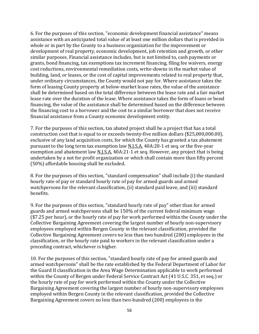6. For the purposes of this section, "economic development financial assistance" means assistance with an anticipated total value of at least one million dollars that is provided in whole or in part by the County to a business organization for the improvement or development of real property, economic development, job retention and growth, or other similar purposes. Financial assistance includes, but is not limited to, cash payments or grants, bond financing, tax exemptions tax increment financing, filing fee waivers, energy cost reductions, environmental remediation costs, write-downs in the market value of building, land, or leases, or the cost of capital improvements related to real property that, under ordinary circumstances, the County would not pay for. Where assistance takes the form of leasing County property at below-market lease rates, the value of the assistance shall be determined based on the total difference between the lease rate and a fair market lease rate over the duration of the lease. Where assistance takes the form of loans or bond financing, the value of the assistance shall be determined based on the difference between the financing cost to a borrower and the cost to a similar borrower that does not receive financial assistance from a County economic development entity.

7. For the purposes of this section, tax abated project shall be a project that has a total construction cost that is equal to or exceeds twenty-five million dollars (\$25,000,000.00), exclusive of any land acquisition costs, for which the County has granted a tax abatement pursuant to the long term tax exemption law N.J.S.A. 40A:20-1 et seq. or the five-year exemption and abatement law  $N.I.S.A.$  40A:21-1 et seq. However, any project that is being undertaken by a not for profit organization or which shall contain more than fifty percent (50%) affordable housing shall be excluded.

8. For the purposes of this section, "standard compensation" shall include (i) the standard hourly rate of pay or standard hourly rate of pay for armed guards and armed watchpersons for the relevant classification, (ii) standard paid leave, and (iii) standard benefits.

9. For the purposes of this section, "standard hourly rate of pay" other than for armed guards and armed watchpersons shall be 150% of the current federal minimum wage (\$7.25 per hour), or the hourly rate of pay for work performed within the County under the Collective Bargaining Agreement covering the largest number of hourly non-supervisory employees employed within Bergen County in the relevant classification, provided the Collective Bargaining Agreement covers no less than two hundred (200) employees in the classification, or the hourly rate paid to workers in the relevant classification under a preceding contract, whichever is higher.

10. For the purposes of this section, "standard hourly rate of pay for armed guards and armed watchpersons" shall be the rate established by the Federal Department of Labor for the Guard II classification in the Area Wage Determination applicable to work performed within the County of Bergen under Federal Service Contract Act (41 U.S.C. 351, et seq.) or the hourly rate of pay for work performed within the County under the Collective Bargaining Agreement covering the largest number of hourly non-supervisory employees employed within Bergen County in the relevant classification, provided the Collective Bargaining Agreement covers no less than two-hundred (200) employees in the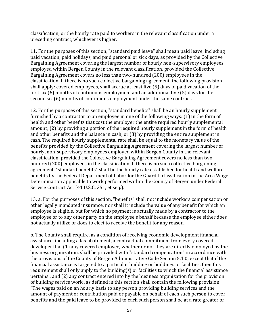classification, or the hourly rate paid to workers in the relevant classification under a preceding contract, whichever is higher.

11. For the purposes of this section, "standard paid leave" shall mean paid leave, including paid vacation, paid holidays, and paid personal or sick days, as provided by the Collective Bargaining Agreement covering the largest number of hourly non-supervisory employees employed within Bergen County in the relevant classification, provided the Collective Bargaining Agreement covers no less than two-hundred (200) employees in the classification. If there is no such collective bargaining agreement, the following provision shall apply: covered employees, shall accrue at least five (5) days of paid vacation of the first six (6) months of continuous employment and an additional five (5) days for the second six (6) months of continuous employment under the same contract.

12. For the purposes of this section, "standard benefits" shall be an hourly supplement furnished by a contractor to an employee in one of the following ways: (1) in the form of health and other benefits that cost the employer the entire required hourly supplemental amount; (2) by providing a portion of the required hourly supplement in the form of health and other benefits and the balance in cash; or (3) by providing the entire supplement in cash. The required hourly supplemental rate shall be equal to the monetary value of the benefits provided by the Collective Bargaining Agreement covering the largest number of hourly, non-supervisory employees employed within Bergen County in the relevant classification, provided the Collective Bargaining Agreement covers no less than twohundred (200) employees in the classification. If there is no such collective bargaining agreement, "standard benefits" shall be the hourly rate established for health and welfare benefits by the Federal Department of Labor for the Guard II classification in the Area Wage Determination applicable to work performed within the County of Bergen under Federal Service Contract Act (41 U.S.C. 351, et seq.).

13. a. For the purposes of this section, "benefits" shall not include workers compensation or other legally mandated insurance, nor shall it include the value of any benefit for which an employee is eligible, but for which no payment is actually made by a contractor to the employee or to any other party on the employee's behalf because the employee either does not actually utilize or does to elect to receive the benefit for any reason.

b. The County shall require, as a condition of receiving economic development financial assistance, including a tax abatement, a contractual commitment from every covered developer that (1) any covered employee, whether or not they are directly employed by the business organization, shall be provided with "standard compensation" in accordance with the provisions of the County of Bergen Administrative Code Section 5.1 0, except that if the financial assistance is targeted to a particular building or buildings or facilities, then this requirement shall only apply to the building(s) or facilities to which the financial assistance pertains ; and (2) any contract entered into by the business organization for the provision of building service work , as defined in this section shall contain the following provision: "The wages paid on an hourly basis to any person providing building services and the amount of payment or contribution paid or payable on behalf of each such person to cover benefits and the paid leave to be provided to each such person shall be at a rate greater or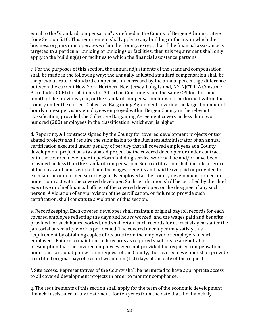equal to the "standard compensation" as defined in the County of Bergen Administrative Code Section 5.10. This requirement shall apply to any building or facility in which the business organization operates within the County, except that if the financial assistance is targeted to a particular building or buildings or facilities, then this requirement shall only apply to the building(s) or facilities to which the financial assistance pertains.

c. For the purposes of this section, the annual adjustments of the standard compensation shall be made in the following way: the annually adjusted standard compensation shall be the previous rate of standard compensation increased by the annual percentage difference between the current New York-Northern New Jersey-Long Island, NY-NJCT-P A Consumer Price Index CCPI) for all items for All Urban Consumers and the same CPI for the same month of the previous year, or the standard compensation for work performed within the County under the current Collective Bargaining Agreement covering the largest number of hourly non-supervisory employees employed within Bergen County in the relevant classification, provided the Collective Bargaining Agreement covers no less than two hundred (200) employees in the classification, whichever is higher.

d. Reporting. All contracts signed by the County for covered development projects or tax abated projects shall require the submission to the Business Administrator of an annual certification executed under penalty of perjury that all covered employees at a County development project or a tax abated project by the covered developer or under contract with the covered developer to perform building service work will be and/or have been provided no less than the standard compensation. Such certification shall include a record of the days and hours worked and the wages, benefits and paid leave paid or provided to each janitor or unarmed security guards employed at the County development project or under contract with the covered developer. Such certification shall be certified by the chief executive or chief financial officer of the covered developer, or the designee of any such person. A violation of any provision of the certification, or failure to provide such certification, shall constitute a violation of this section.

e. Recordkeeping. Each covered developer shall maintain original payroll records for each covered employee reflecting the days and hours worked, and the wages paid and benefits provided for such hours worked, and shall retain such records for at least six years after the janitorial or security work is performed. The covered developer may satisfy this requirement by obtaining copies of records from the employer or employers of such employees. Failure to maintain such records as required shall create a rebuttable presumption that the covered employees were not provided the required compensation under this section. Upon written request of the County, the covered developer shall provide a certified original payroll record within ten (1 0) days of the date of the request.

f. Site access. Representatives of the County shall be permitted to have appropriate access to all covered development projects in order to monitor compliance.

g. The requirements of this section shall apply for the term of the economic development financial assistance or tax abatement, for ten years from the date that the financially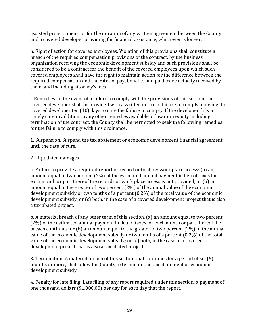assisted project opens, or for the duration of any written agreement between the County and a covered developer providing for financial assistance, whichever is longer.

h. Right of action for covered employees. Violation of this provisions shall constitute a breach of the required compensation provisions of the contract, by the business organization receiving the economic development subsidy and such provisions shall be considered to be a contract for the benefit of the covered employees upon which such covered employees shall have the right to maintain action for the difference between the required compensation and the rates of pay, benefits and paid leave actually received by them, and including attorney's fees.

i. Remedies. In the event of a failure to comply with the provisions of this section, the covered developer shall be provided with a written notice of failure to comply allowing the covered developer ten (10) days to cure the failure to comply. If the developer fails to timely cure in addition to any other remedies available at law or in equity including termination of the contract, the County shall be permitted to seek the following remedies for the failure to comply with this ordinance:

1. Suspension. Suspend the tax abatement or economic development financial agreement until the date of cure.

2. Liquidated damages.

a. Failure to provide a required report or record or to allow work place access: (a) an amount equal to two percent (2%) of the estimated annual payment in lieu of taxes for each month or part thereof the records or work place access is not provided; or (b) an amount equal to the greater of two percent (2%) of the annual value of the economic development subsidy or two tenths of a percent (0.2%) of the total value of the economic development subsidy; or (c) both, in the case of a covered development project that is also a tax abated project.

b. A material breach of any other term of this section, (a) an amount equal to two percent (2%) of the estimated annual payment in lieu of taxes for each month or part thereof the breach continues; or (b) an amount equal to the greater of two percent (2%) of the annual value of the economic development subsidy or two tenths of a percent (0.2%) of the total value of the economic development subsidy; or (c) both, in the case of a covered development project that is also a tax abated project.

3. Termination. A material breach of this section that continues for a period of six (6) months or more, shall allow the County to terminate the tax abatement or economic development subsidy.

4. Penalty for late filing. Late filing of any report required under this section: a payment of one thousand dollars (\$1,000.00) per day for each day that the report.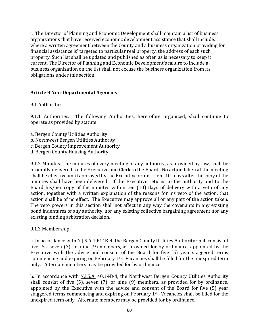j. The Director of Planning and Economic Development shall maintain a list of business organizations that have received economic development assistance that shall include, where a written agreement between the County and a business organization providing for financial assistance is' targeted to particular real property, the address of each such property. Such list shall be updated and published as often as is necessary to keep it current. The Director of Planning and Economic Development's failure to include a business organization on the list shall not excuse the business organization from its obligations under this section.

#### **Article 9 Non-Departmental Agencies**

### 9.1 Authorities

9.1.1 Authorities. The following Authorities, heretofore organized, shall continue to operate as provided by statute:

- a. Bergen County Utilities Authority
- b. Northwest Bergen Utilities Authority
- c. Bergen County Improvement Authority
- d. Bergen County Housing Authority

9.1.2 Minutes. The minutes of every meeting of any authority, as provided by law, shall be promptly delivered to the Executive and Clerk to the Board. No action taken at the meeting shall be effective until approved by the Executive or until ten (10) days after the copy of the minutes shall have been delivered. If the Executive returns to the authority and to the Board his/her copy of the minutes within ten (10) days of delivery with a veto of any action, together with a written explanation of the reasons for his veto of the action, that action shall be of no effect. The Executive may approve all or any part of the action taken. The veto powers in this section shall not affect in any way the covenants in any existing bond indentures of any authority, nor any existing collective bargaining agreement nor any existing binding arbitration decision.

9.1.3 Membership.

a. In accordance with N.J.S.A 40:14B-4, the Bergen County Utilities Authority shall consist of five (5), seven (7), or nine (9) members, as provided for by ordinance, appointed by the Executive with the advice and consent of the Board for five (5) year staggered terms commencing and expiring on February 1st. Vacancies shall be filled for the unexpired term only. Alternate members may be provided for by ordinance.

b. In accordance with N.J.S.A. 40:14B-4, the Northwest Bergen County Utilities Authority shall consist of five (5), seven (7), or nine (9) members, as provided for by ordinance, appointed by the Executive with the advice and consent of the Board for five (5) year staggered terms commencing and expiring on February 1st. Vacancies shall be filled for the unexpired term only. Alternate members may be provided for by ordinance.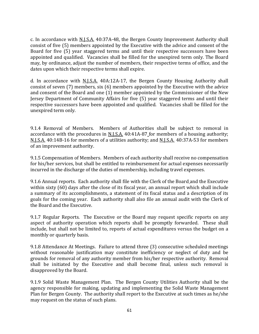c. In accordance with N.J.S.A. 40:37A-48, the Bergen County Improvement Authority shall consist of five (5) members appointed by the Executive with the advice and consent of the Board for five (5) year staggered terms and until their respective successors have been appointed and qualified. Vacancies shall be filled for the unexpired term only. The Board may, by ordinance, adjust the number of members, their respective terms of office, and the dates upon which their respective terms shall expire.

d. In accordance with N.J.S.A. 40A:12A-17, the Bergen County Housing Authority shall consist of seven (7) members, six (6) members appointed by the Executive with the advice and consent of the Board and one (1) member appointed by the Commissioner of the New Jersey Department of Community Affairs for five (5) year staggered terms and until their respective successors have been appointed and qualified. Vacancies shall be filled for the unexpired term only.

9.1.4 Removal of Members. Members of Authorities shall be subject to removal in accordance with the procedures in N.J.S.A. 40:41A-87 for members of a housing authority; N.J.S.A. 40:14B-16 for members of a utilities authority; and N.J.S.A. 40:37A-53 for members of an improvement authority.

9.1.5 Compensation of Members. Members of each authority shall receive no compensation for his/her services, but shall be entitled to reimbursement for actual expenses necessarily incurred in the discharge of the duties of membership, including travel expenses.

9.1.6 Annual reports. Each authority shall file with the Clerk of the Board and the Executive within sixty (60) days after the close of its fiscal year, an annual report which shall include a summary of its accomplishments, a statement of its fiscal status and a description of its goals for the coming year. Each authority shall also file an annual audit with the Clerk of the Board and the Executive.

9.1.7 Regular Reports. The Executive or the Board may request specific reports on any aspect of authority operation which reports shall be promptly forwarded. These shall include, but shall not be limited to, reports of actual expenditures versus the budget on a monthly or quarterly basis.

9.1.8 Attendance At Meetings. Failure to attend three (3) consecutive scheduled meetings without reasonable justification may constitute inefficiency or neglect of duty and be grounds for removal of any authority member from his/her respective authority. Removal shall be initiated by the Executive and shall become final, unless such removal is disapproved by the Board.

9.1.9 Solid Waste Management Plan. The Bergen County Utilities Authority shall be the agency responsible for making, updating and implementing the Solid Waste Management Plan for Bergen County. The authority shall report to the Executive at such times as he/she may request on the status of such plans.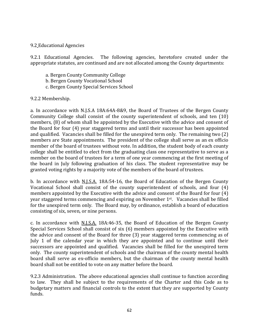### 9.2 Educational Agencies

9.2.1 Educational Agencies. The following agencies, heretofore created under the appropriate statutes, are continued and are not allocated among the County departments:

- a. Bergen County Community College
- b. Bergen County Vocational School
- c. Bergen County Special Services School

#### 9.2.2 Membership.

a. In accordance with N.J.S.A 18A:64A-8&9, the Board of Trustees of the Bergen County Community College shall consist of the county superintendent of schools, and ten (10) members, (8) of whom shall be appointed by the Executive with the advice and consent of the Board for four (4) year staggered terms and until their successor has been appointed and qualified. Vacancies shall be filled for the unexpired term only. The remaining two (2) members are State appointments. The president of the college shall serve as an ex officio member of the board of trustees without vote. In addition, the student body of each county college shall be entitled to elect from the graduating class one representative to serve as a member on the board of trustees for a term of one year commencing at the first meeting of the board in July following graduation of his class. The student representative may be granted voting rights by a majority vote of the members of the board of trustees.

b. In accordance with N.J.S.A. 18A:54-16, the Board of Education of the Bergen County Vocational School shall consist of the county superintendent of schools, and four (4) members appointed by the Executive with the advice and consent of the Board for four (4) year staggered terms commencing and expiring on November 1st. Vacancies shall be filled for the unexpired term only. The Board may, by ordinance, establish a board of education consisting of six, seven, or nine persons.

c. In accordance with N.J.S.A. 18A:46-35, the Board of Education of the Bergen County Special Services School shall consist of six (6) members appointed by the Executive with the advice and consent of the Board for three (3) year staggered terms commencing as of July 1 of the calendar year in which they are appointed and to continue until their successors are appointed and qualified. Vacancies shall be filled for the unexpired term only. The county superintendent of schools and the chairman of the county mental health board shall serve as ex-officio members, but the chairman of the county mental health board shall not be entitled to vote on any matter before the board.

9.2.3 Administration. The above educational agencies shall continue to function according to law. They shall be subject to the requirements of the Charter and this Code as to budgetary matters and financial controls to the extent that they are supported by County funds.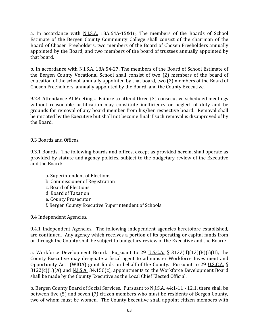a. In accordance with N.J.S.A. 18A:64A-15&16, The members of the Boards of School Estimate of the Bergen County Community College shall consist of the chairman of the Board of Chosen Freeholders, two members of the Board of Chosen Freeholders annually appointed by the Board, and two members of the board of trustees annually appointed by that board.

b. In accordance with N.J.S.A. 18A:54-27, The members of the Board of School Estimate of the Bergen County Vocational School shall consist of two (2) members of the board of education of the school, annually appointed by that board, two (2) members of the Board of Chosen Freeholders, annually appointed by the Board, and the County Executive.

9.2.4 Attendance At Meetings. Failure to attend three (3) consecutive scheduled meetings without reasonable justification may constitute inefficiency or neglect of duty and be grounds for removal of any board member from his/her respective board. Removal shall be initiated by the Executive but shall not become final if such removal is disapproved of by the Board.

9.3 Boards and Offices.

9.3.1 Boards. The following boards and offices, except as provided herein, shall operate as provided by statute and agency policies, subject to the budgetary review of the Executive and the Board:

- a. Superintendent of Elections
- b. Commissioner of Registration
- c. Board of Elections
- d. Board of Taxation
- e. County Prosecutor
- f. Bergen County Executive Superintendent of Schools

9.4 Independent Agencies.

9.4.1 Independent Agencies. The following independent agencies heretofore established, are continued. Any agency which receives a portion of its operating or capital funds from or through the County shall be subject to budgetary review of the Executive and the Board:

a. Workforce Development Board. Pursuant to 29 U.S.C.A.  $\S$  3122(d)(12)(B)(i)(II), the County Executive may designate a fiscal agent to administer Workforce Investment and Opportunity Act (WIOA) grant funds on behalf of the County. Pursuant to 29 U.S.C.A. § 3122(c)(1)(A) and N.J.S.A. 34:15C(c), appointments to the Workforce Development Board shall be made by the County Executive as the Local Chief Elected Official.

b. Bergen County Board of Social Services. Pursuant to N.J.S.A. 44:1-11 - 12.1, there shall be between five (5) and seven (7) citizen members who must be residents of Bergen County, two of whom must be women. The County Executive shall appoint citizen members with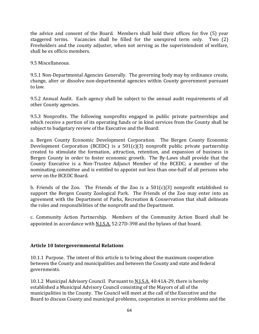the advice and consent of the Board. Members shall hold their offices for five (5) year staggered terms. Vacancies shall be filled for the unexpired term only. Two (2) Freeholders and the county adjuster, when not serving as the superintendent of welfare, shall be ex officio members.

9.5 Miscellaneous.

9.5.1 Non-Departmental Agencies Generally. The governing body may by ordinance create, change, alter or dissolve non-departmental agencies within County government pursuant to law.

9.5.2 Annual Audit. Each agency shall be subject to the annual audit requirements of all other County agencies.

9.5.3 Nonprofits. The following nonprofits engaged in public private partnerships and which receive a portion of its operating funds or in kind services from the County shall be subject to budgetary review of the Executive and the Board:

a. Bergen County Economic Development Corporation. The Bergen County Economic Development Corporation (BCEDC) is a 501(c)(3) nonprofit public private partnership created to stimulate the formation, attraction, retention, and expansion of business in Bergen County in order to foster economic growth. The By-Laws shall provide that the County Executive is a Non-Trustee Adjunct Member of the BCEDC; a member of the nominating committee and is entitled to appoint not less than one-half of all persons who serve on the BCEDC Board.

b. Friends of the Zoo. The Friends of the Zoo is a  $501(c)(3)$  nonprofit established to support the Bergen County Zoological Park. The Friends of the Zoo may enter into an agreement with the Department of Parks, Recreation & Conservation that shall delineate the roles and responsibilities of the nonprofit and the Department.

c. Community Action Partnership. Members of the Community Action Board shall be appointed in accordance with N.J.S.A. 52:27D-398 and the bylaws of that board.

# **Article 10 Intergovermmental Relations**

10.1.1 Purpose. The intent of this article is to bring about the maximum cooperation between the County and municipalities and between the County and state and federal governments.

10.1.2 Municipal Advisory Council. Pursuant to N.J.S.A. 40:41A-29, there is hereby established a Municipal Advisory Council consisting of the Mayors of all of the municipalities in the County. The Council will meet at the call of the Executive and the Board to discuss County and municipal problems, cooperation in service problems and the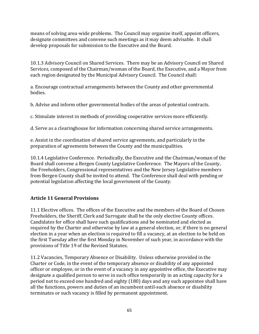means of solving area-wide problems. The Council may organize itself, appoint officers, designate committees and convene such meetings as it may deem advisable. It shall develop proposals for submission to the Executive and the Board.

10.1.3 Advisory Council on Shared Services. There may be an Advisory Council on Shared Services, composed of the Chairman/woman of the Board, the Executive, and a Mayor from each region designated by the Municipal Advisory Council. The Council shall:

a. Encourage contractual arrangements between the County and other governmental bodies.

b. Advise and inform other governmental bodies of the areas of potential contracts.

c. Stimulate interest in methods of providing cooperative services more efficiently.

d. Serve as a clearinghouse for information concerning shared service arrangements.

e. Assist in the coordination of shared service agreements, and particularly in the preparation of agreements between the County and the municipalities.

10.1.4 Legislative Conference. Periodically, the Executive and the Chairman/woman of the Board shall convene a Bergen County Legislative Conference. The Mayors of the County, the Freeholders, Congressional representatives and the New Jersey Legislative members from Bergen County shall be invited to attend. The Conference shall deal with pending or potential legislation affecting the local government of the County.

# **Article 11 General Provisions**

11.1 Elective offices. The offices of the Executive and the members of the Board of Chosen Freeholders, the Sheriff, Clerk and Surrogate shall be the only elective County offices. Candidates for office shall have such qualifications and be nominated and elected as required by the Charter and otherwise by law at a general election, or, if there is no general election in a year when an election is required to fill a vacancy, at an election to be held on the first Tuesday after the first Monday in November of such year, in accordance with the provisions of Title 19 of the Revised Statutes.

11.2 Vacancies, Temporary Absence or Disability. Unless otherwise provided in the Charter or Code, in the event of the temporary absence or disability of any appointed officer or employee, or in the event of a vacancy in any appointive office, the Executive may designate a qualified person to serve in such office temporarily in an acting capacity for a period not to exceed one hundred and eighty (180) days and any such appointee shall have all the functions, powers and duties of an incumbent until-such absence or disability terminates or such vacancy is filled by permanent appointment.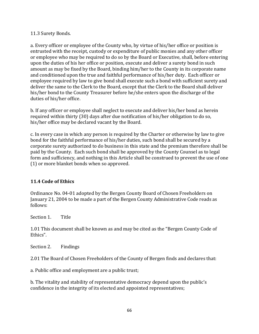### 11.3 Surety Bonds.

a. Every officer or employee of the County who, by virtue of his/her office or position is entrusted with the receipt, custody or expenditure of public monies and any other officer or employee who may be required to do so by the Board or Executive, shall, before entering upon the duties of his her office or position, execute and deliver a surety bond in such amount as may be fixed by the Board, binding him/her to the County in its corporate name and conditioned upon the true and faithful performance of his/her duty. Each officer or employee required by law to give bond shall execute such a bond with sufficient surety and deliver the same to the Clerk to the Board, except that the Clerk to the Board shall deliver his/her bond to the County Treasurer before he/she enters upon the discharge of the duties of his/her office.

b. If any officer or employee shall neglect to execute and deliver his/her bond as herein required within thirty (30) days after due notification of his/her obligation to do so, his/her office may be declared vacant by the Board.

c. In every case in which any person is required by the Charter or otherwise by law to give bond for the faithful performance of his/her duties, such bond shall be secured by a corporate surety authorized to do business in this state and the premium therefore shall be paid by the County. Each such bond shall be approved by the County Counsel as to legal form and sufficiency, and nothing in this Article shall be construed to prevent the use of one (1) or more blanket bonds when so approved.

# **11.4 Code of Ethics**

Ordinance No. 04-01 adopted by the Bergen County Board of Chosen Freeholders on January 21, 2004 to be made a part of the Bergen County Administrative Code reads as follows:

Section 1. Title

1.01 This document shall be known as and may be cited as the "Bergen County Code of Ethics".

Section 2. Findings

2.01 The Board of Chosen Freeholders of the County of Bergen finds and declares that:

a. Public office and employment are a public trust;

b. The vitality and stability of representative democracy depend upon the public's confidence in the integrity of its elected and appointed representatives;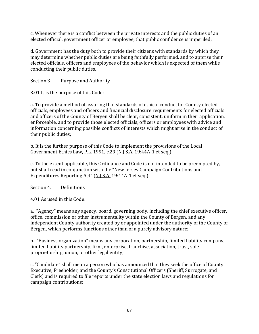c. Whenever there is a conflict between the private interests and the public duties of an elected official, government officer or employee, that public confidence is imperiled;

d. Government has the duty both to provide their citizens with standards by which they may determine whether public duties are being faithfully performed, and to apprise their elected officials, officers and employees of the behavior which is expected of them while conducting their public duties.

Section 3. Purpose and Authority

3.01 It is the purpose of this Code:

a. To provide a method of assuring that standards of ethical conduct for County elected officials, employees and officers and financial disclosure requirements for elected officials and officers of the County of Bergen shall be clear, consistent, uniform in their application, enforceable, and to provide those elected officials, officers or employees with advice and information concerning possible conflicts of interests which might arise in the conduct of their public duties;

b. It is the further purpose of this Code to implement the provisions of the Local Government Ethics Law, P.L. 1991, c.29 (N.J.S.A. 19:44A-1 et seq.)

c. To the extent applicable, this Ordinance and Code is not intended to be preempted by, but shall read in conjunction with the "New Jersey Campaign Contributions and Expenditures Reporting Act" (N.J.S.A. 19:44A-1 et seq.)

Section 4. Definitions

4.01 As used in this Code:

a. "Agency" means any agency, board, governing body, including the chief executive officer, office, commission or other instrumentality within the County of Bergen, and any independent County authority created by or appointed under the authority of the County of Bergen, which performs functions other than of a purely advisory nature;

b. "Business organization" means any corporation, partnership, limited liability company, limited liability partnership, firm, enterprise, franchise, association, trust, sole proprietorship, union, or other legal entity;

c. "Candidate" shall mean a person who has announced that they seek the office of County Executive, Freeholder, and the County's Constitutional Officers (Sheriff, Surrogate, and Clerk) and is required to file reports under the state election laws and regulations for campaign contributions;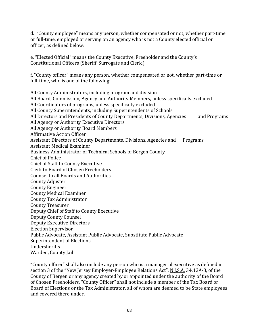d. "County employee" means any person, whether compensated or not, whether part-time or full-time, employed or serving on an agency who is not a County elected official or officer, as defined below:

e. "Elected Official" means the County Executive, Freeholder and the County's Constitutional Officers (Sheriff, Surrogate and Clerk.)

f. "County officer" means any person, whether compensated or not, whether part-time or full-time, who is one of the following:

All County Administrators, including program and division All Board, Commission, Agency and Authority Members, unless specifically excluded All Coordinators of programs, unless specifically excluded All County Superintendents, including Superintendents of Schools All Directors and Presidents of County Departments, Divisions, Agencies and Programs All Agency or Authority Executive Directors All Agency or Authority Board Members Affirmative Action Officer Assistant Directors of County Departments, Divisions, Agencies and Programs Assistant Medical Examiner Business Administrator of Technical Schools of Bergen County Chief of Police Chief of Staff to County Executive Clerk to Board of Chosen Freeholders Counsel to all Boards and Authorities County Adjuster County Engineer County Medical Examiner County Tax Administrator County Treasurer Deputy Chief of Staff to County Executive Deputy County Counsel Deputy Executive Directors Election Supervisor Public Advocate, Assistant Public Advocate, Substitute Public Advocate Superintendent of Elections Undersheriffs Warden, County Jail

"County officer" shall also include any person who is a managerial executive as defined in section 3 of the "New Jersey Employer-Employee Relations Act", N.J.S.A. 34:13A-3, of the County of Bergen or any agency created by or appointed under the authority of the Board of Chosen Freeholders. "County Officer" shall not include a member of the Tax Board or Board of Elections or the Tax Administrator, all of whom are deemed to be State employees and covered there under.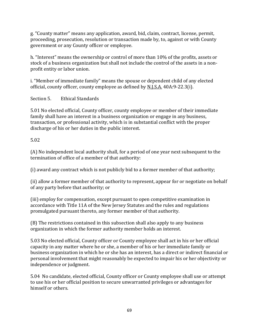g. "County matter" means any application, award, bid, claim, contract, license, permit, proceeding, prosecution, resolution or transaction made by, to, against or with County government or any County officer or employee.

h. "Interest" means the ownership or control of more than 10% of the profits, assets or stock of a business organization but shall not include the control of the assets in a nonprofit entity or labor union.

i. "Member of immediate family" means the spouse or dependent child of any elected official, county officer, county employee as defined by N.J.S.A. 40A:9-22.3(i).

Section 5. Ethical Standards

5.01 No elected official, County officer, county employee or member of their immediate family shall have an interest in a business organization or engage in any business, transaction, or professional activity, which is in substantial conflict with the proper discharge of his or her duties in the public interest.

5.02

(A) No independent local authority shall, for a period of one year next subsequent to the termination of office of a member of that authority:

(i) award any contract which is not publicly bid to a former member of that authority;

(ii) allow a former member of that authority to represent, appear for or negotiate on behalf of any party before that authority; or

(iii) employ for compensation, except pursuant to open competitive examination in accordance with Title 11A of the New Jersey Statutes and the rules and regulations promulgated pursuant thereto, any former member of that authority.

(B) The restrictions contained in this subsection shall also apply to any business organization in which the former authority member holds an interest.

5.03 No elected official, County officer or County employee shall act in his or her official capacity in any matter where he or she, a member of his or her immediate family or business organization in which he or she has an interest, has a direct or indirect financial or personal involvement that might reasonably be expected to impair his or her objectivity or independence or judgment.

5.04 No candidate, elected official, County officer or County employee shall use or attempt to use his or her official position to secure unwarranted privileges or advantages for himself or others.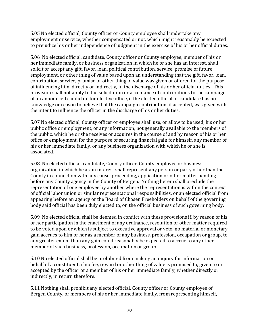5.05 No elected official, County officer or County employee shall undertake any employment or service, whether compensated or not, which might reasonably be expected to prejudice his or her independence of judgment in the exercise of his or her official duties.

5.06 No elected official, candidate, County officer or County employee, member of his or her immediate family, or business organization in which he or she has an interest, shall solicit or accept any gift, favor, loan, political contribution, service, promise of future employment, or other thing of value based upon an understanding that the gift, favor, loan, contribution, service, promise or other thing of value was given or offered for the purpose of influencing him, directly or indirectly, in the discharge of his or her official duties. This provision shall not apply to the solicitation or acceptance of contributions to the campaign of an announced candidate for elective office, if the elected official or candidate has no knowledge or reason to believe that the campaign contribution, if accepted, was given with the intent to influence the officer in the discharge of his or her duties.

5.07 No elected official, County officer or employee shall use, or allow to be used, his or her public office or employment, or any information, not generally available to the members of the public, which he or she receives or acquires in the course of and by reason of his or her office or employment, for the purpose of securing financial gain for himself, any member of his or her immediate family, or any business organization with which he or she is associated.

5.08 No elected official, candidate, County officer, County employee or business organization in which he as an interest shall represent any person or party other than the County in connection with any cause, proceeding, application or other matter pending before any County agency in the County of Bergen. Nothing herein shall preclude the representation of one employee by another where the representation is within the context of official labor union or similar representational responsibilities, or an elected official from appearing before an agency or the Board of Chosen Freeholders on behalf of the governing body said official has been duly elected to, on the official business of such governing body.

5.09 No elected official shall be deemed in conflict with these provisions if, by reason of his or her participation in the enactment of any ordinance, resolution or other matter required to be voted upon or which is subject to executive approval or veto, no material or monetary gain accrues to him or her as a member of any business, profession, occupation or group, to any greater extent than any gain could reasonably be expected to accrue to any other member of such business, profession, occupation or group.

5.10 No elected official shall be prohibited from making an inquiry for information on behalf of a constituent, if no fee, reward or other thing of value is promised to, given to or accepted by the officer or a member of his or her immediate family, whether directly or indirectly, in return therefore.

5.11 Nothing shall prohibit any elected official, County officer or County employee of Bergen County, or members of his or her immediate family, from representing himself,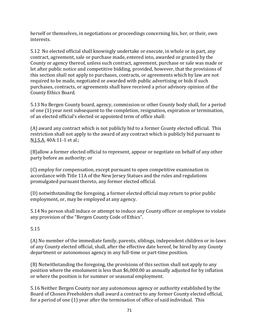herself or themselves, in negotiations or proceedings concerning his, her, or their, own interests.

5.12 No elected official shall knowingly undertake or execute, in whole or in part, any contract, agreement, sale or purchase made, entered into, awarded or granted by the County or agency thereof, unless such contract, agreement, purchase or sale was made or let after public notice and competitive bidding, provided, however, that the provisions of this section shall not apply to purchases, contracts, or agreements which by law are not required to be made, negotiated or awarded with public advertising or bids if such purchases, contracts, or agreements shall have received a prior advisory opinion of the County Ethics Board.

5.13 No Bergen County board, agency, commission or other County body shall, for a period of one (1) year next subsequent to the completion, resignation, expiration or termination, of an elected official's elected or appointed term of office shall:

(A) award any contract which is not publicly bid to a former County elected official. This restriction shall not apply to the award of any contract which is publicly bid pursuant to N.J.S.A. 40A:11-1 et al.;

(B)allow a former elected official to represent, appear or negotiate on behalf of any other party before an authority; or

(C) employ for compensation, except pursuant to open competitive examination in accordance with Title 11A of the New Jersey Statues and the rules and regulations promulgated pursuant thereto, any former elected official.

(D) notwithstanding the foregoing, a former elected official may return to prior public employment, or, may be employed at any agency.

5.14 No person shall induce or attempt to induce any County officer or employee to violate any provision of the "Bergen County Code of Ethics".

5.15

(A) No member of the immediate family, parents, siblings, independent children or in-laws of any County elected official, shall, after the effective date hereof, be hired by any County department or autonomous agency in any full-time or part-time position.

(B) Notwithstanding the foregoing, the provisions of this section shall not apply to any position where the emolument is less than \$6,000.00 as annually adjusted for by inflation or where the position is for summer or seasonal employment.

5.16 Neither Bergen County nor any autonomous agency or authority established by the Board of Chosen Freeholders shall award a contract to any former County elected official, for a period of one (1) year after the termination of office of said individual. This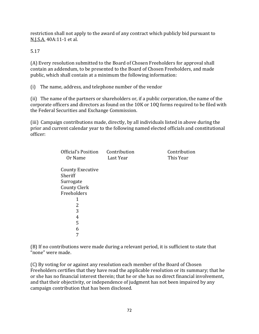restriction shall not apply to the award of any contract which publicly bid pursuant to N.J.S.A. 40A:11-1 et al.

5.17

(A) Every resolution submitted to the Board of Chosen Freeholders for approval shall contain an addendum, to be presented to the Board of Chosen Freeholders, and made public, which shall contain at a minimum the following information:

(i) The name, address, and telephone number of the vendor

(ii) The name of the partners or shareholders or, if a public corporation, the name of the corporate officers and directors as found on the 10K or 10Q forms required to be filed with the Federal Securities and Exchange Commission.

(iii) Campaign contributions made, directly, by all individuals listed in above during the prior and current calendar year to the following named elected officials and constitutional officer:

| Official's Position     | Contribution | Contribution |
|-------------------------|--------------|--------------|
| Or Name                 | Last Year    | This Year    |
| <b>County Executive</b> |              |              |
| Sheriff                 |              |              |
| Surrogate               |              |              |
| <b>County Clerk</b>     |              |              |
| Freeholders             |              |              |
| 1                       |              |              |
| 2                       |              |              |
| 3                       |              |              |
| 4                       |              |              |
| 5                       |              |              |
| 6                       |              |              |
|                         |              |              |

(B) If no contributions were made during a relevant period, it is sufficient to state that "none" were made.

(C) By voting for or against any resolution each member of the Board of Chosen Freeholders certifies that they have read the applicable resolution or its summary; that he or she has no financial interest therein; that he or she has no direct financial involvement, and that their objectivity, or independence of judgment has not been impaired by any campaign contribution that has been disclosed.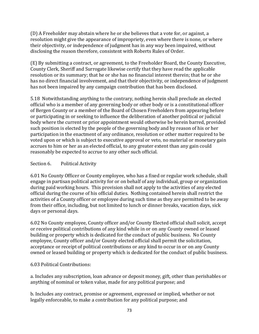(D) A Freeholder may abstain where he or she believes that a vote for, or against, a resolution might give the appearance of impropriety, even where there is none, or where their objectivity, or independence of judgment has in any way been impaired, without disclosing the reason therefore, consistent with Roberts Rules of Order.

(E) By submitting a contract, or agreement, to the Freeholder Board, the County Executive, County Clerk, Sheriff and Surrogate likewise certify that they have read the applicable resolution or its summary; that he or she has no financial interest therein; that he or she has no direct financial involvement, and that their objectivity, or independence of judgment has not been impaired by any campaign contribution that has been disclosed.

5.18 Notwithstanding anything to the contrary, nothing herein shall preclude an elected official who is a member of any governing body or other body or is a constitutional officer of Bergen County or a member of the Board of Chosen Freeholders from appearing before or participating in or seeking to influence the deliberation of another political or judicial body where the current or prior appointment would otherwise be herein barred, provided such position is elected by the people of the governing body and by reason of his or her participation in the enactment of any ordinance, resolution or other matter required to be voted upon or which is subject to executive approval or veto, no material or monetary gain accrues to him or her as an elected official, to any greater extent than any gain could reasonably be expected to accrue to any other such official.

## Section 6. Political Activity

6.01 No County Officer or County employee, who has a fixed or regular work schedule, shall engage in partisan political activity for or on behalf of any individual, group or organization during paid working hours. This provision shall not apply to the activities of any elected official during the course of his official duties. Nothing contained herein shall restrict the activities of a County officer or employee during such time as they are permitted to be away from their office, including, but not limited to lunch or dinner breaks, vacation days, sick days or personal days.

6.02 No County employee, County officer and/or County Elected official shall solicit, accept or receive political contributions of any kind while in or on any County owned or leased building or property which is dedicated for the conduct of public business. No County employee, County officer and/or County elected official shall permit the solicitation, acceptance or receipt of political contributions or any kind to occur in or on any County owned or leased building or property which is dedicated for the conduct of public business.

# 6.03 Political Contributions:

a. Includes any subscription, loan advance or deposit money, gift, other than perishables or anything of nominal or token value, made for any political purpose; and

b. Includes any contract, promise or agreement, expressed or implied, whether or not legally enforceable, to make a contribution for any political purpose; and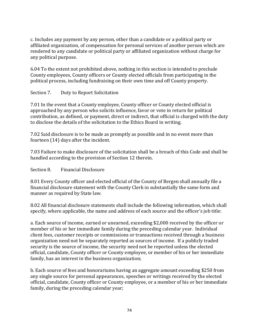c. Includes any payment by any person, other than a candidate or a political party or affiliated organization, of compensation for personal services of another person which are rendered to any candidate or political party or affiliated organization without charge for any political purpose.

6.04 To the extent not prohibited above, nothing in this section is intended to preclude County employees, County officers or County elected officials from participating in the political process, including fundraising on their own time and off County property.

## Section 7. Duty to Report Solicitation

7.01 In the event that a County employee, County officer or County elected official is approached by any person who solicits influence, favor or vote in return for political contribution, as defined, or payment, direct or indirect, that official is charged with the duty to disclose the details of the solicitation to the Ethics Board in writing.

7.02 Said disclosure is to be made as promptly as possible and in no event more than fourteen (14) days after the incident.

7.03 Failure to make disclosure of the solicitation shall be a breach of this Code and shall be handled according to the provision of Section 12 therein.

### Section 8. Financial Disclosure

8.01 Every County officer and elected official of the County of Bergen shall annually file a financial disclosure statement with the County Clerk in substantially the same form and manner as required by State law.

8.02 All financial disclosure statements shall include the following information, which shall specify, where applicable, the name and address of each source and the officer's job title:

a. Each source of income, earned or unearned, exceeding \$2,000 received by the officer or member of his or her immediate family during the preceding calendar year. Individual client fees, customer receipts or commissions or transactions received through a business organization need not be separately reported as sources of income. If a publicly traded security is the source of income, the security need not be reported unless the elected official, candidate, County officer or County employee, or member of his or her immediate family, has an interest in the business organization;

b. Each source of fees and honorariums having an aggregate amount exceeding \$250 from any single source for personal appearances, speeches or writings received by the elected official, candidate, County officer or County employee, or a member of his or her immediate family, during the preceding calendar year;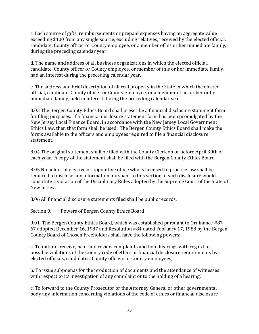c. Each source of gifts, reimbursements or prepaid expenses having an aggregate value exceeding \$400 from any single source, excluding relatives, received by the elected official, candidate, County officer or County employee, or a member of his or her immediate family, during the preceding calendar year;

d. The name and address of all business organizations in which the elected official, candidate, County officer or County employee, or member of this or her immediate family, had an interest during the preceding calendar year.

e. The address and brief description of all real property in the State in which the elected official, candidate, County officer or County employee, or a member of his or her or her immediate family, held in interest during the preceding calendar year.

8.03 The Bergen County Ethics Board shall prescribe a financial disclosure statement form for filing purposes. If a financial disclosure statement form has been promulgated by the New Jersey Local Finance Board, in accordance with the New Jersey Local Government Ethics Law, then that form shall be used. The Bergen County Ethics Board shall make the forms available to the officers and employees required to file a financial disclosure statement.

8.04 The original statement shall be filed with the County Clerk on or before April 30th of each year. A copy of the statement shall be filed with the Bergen County Ethics Board.

8.05 No holder of elective or appointive office who is licensed to practice law shall be required to disclose any information pursuant to this section, if such disclosure would constitute a violation of the Disciplinary Rules adopted by the Supreme Court of the State of New Jersey.

8.06 All financial disclosure statements filed shall be public records.

Section 9. Powers of Bergen County Ethics Board

9.01 The Bergen County Ethics Board, which was established pursuant to Ordinance #87- 67 adopted December 16, 1987 and Resolution #84 dated February 17, 1988 by the Bergen County Board of Chosen Freeholders shall have the following powers:

a. To initiate, receive, hear and review complaints and hold hearings with regard to possible violations of the County code of ethics or financial disclosure requirements by elected officials, candidates, County officers or County employees;

b. To issue subpoenas for the production of documents and the attendance of witnesses with respect to its investigation of any complaint or to the holding of a hearing;

c. To forward to the County Prosecutor or the Attorney General or other governmental body any information concerning violations of the code of ethics or financial disclosure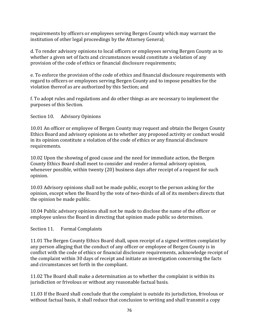requirements by officers or employees serving Bergen County which may warrant the institution of other legal proceedings by the Attorney General;

d. To render advisory opinions to local officers or employees serving Bergen County as to whether a given set of facts and circumstances would constitute a violation of any provision of the code of ethics or financial disclosure requirements;

e. To enforce the provision of the code of ethics and financial disclosure requirements with regard to officers or employees serving Bergen County and to impose penalties for the violation thereof as are authorized by this Section; and

f. To adopt rules and regulations and do other things as are necessary to implement the purposes of this Section.

Section 10. Advisory Opinions

10.01 An officer or employee of Bergen County may request and obtain the Bergen County Ethics Board and advisory opinions as to whether any proposed activity or conduct would in its opinion constitute a violation of the code of ethics or any financial disclosure requirements.

10.02 Upon the showing of good cause and the need for immediate action, the Bergen County Ethics Board shall meet to consider and render a formal advisory opinion, whenever possible, within twenty (20) business days after receipt of a request for such opinion.

10.03 Advisory opinions shall not be made public, except to the person asking for the opinion, except when the Board by the vote of two-thirds of all of its members directs that the opinion be made public.

10.04 Public advisory opinions shall not be made to disclose the name of the officer or employee unless the Board in directing that opinion made public so determines.

Section 11. Formal Complaints

11.01 The Bergen County Ethics Board shall, upon receipt of a signed written complaint by any person alleging that the conduct of any officer or employee of Bergen County is in conflict with the code of ethics or financial disclosure requirements, acknowledge receipt of the complaint within 30 days of receipt and initiate an investigation concerning the facts and circumstances set forth in the compliant.

11.02 The Board shall make a determination as to whether the complaint is within its jurisdiction or frivolous or without any reasonable factual basis.

11.03 If the Board shall conclude that the complaint is outside its jurisdiction, frivolous or without factual basis, it shall reduce that conclusion to writing and shall transmit a copy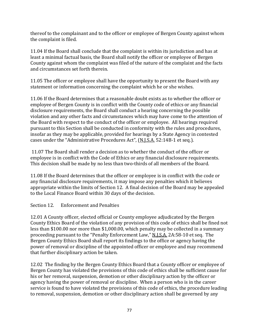thereof to the complainant and to the officer or employee of Bergen County against whom the complaint is filed.

11.04 If the Board shall conclude that the complaint is within its jurisdiction and has at least a minimal factual basis, the Board shall notify the officer or employee of Bergen County against whom the complaint was filed of the nature of the complaint and the facts and circumstances set forth therein.

11.05 The officer or employee shall have the opportunity to present the Board with any statement or information concerning the complaint which he or she wishes.

11.06 If the Board determines that a reasonable doubt exists as to whether the officer or employee of Bergen County is in conflict with the County code of ethics or any financial disclosure requirements, the Board shall conduct a hearing concerning the possible violation and any other facts and circumstances which may have come to the attention of the Board with respect to the conduct of the officer or employee. All hearings required pursuant to this Section shall be conducted in conformity with the rules and procedures, insofar as they may be applicable, provided for hearings by a State Agency in contested cases under the "Administrative Procedures Act", (N.J.S.A. 52:14B-1 et seq.).

11.07 The Board shall render a decision as to whether the conduct of the officer or employee is in conflict with the Code of Ethics or any financial disclosure requirements. This decision shall be made by no less than two-thirds of all members of the Board.

11.08 If the Board determines that the officer or employee is in conflict with the code or any financial disclosure requirements, it may impose any penalties which it believes appropriate within the limits of Section 12. A final decision of the Board may be appealed to the Local Finance Board within 30 days of the decision.

Section 12. Enforcement and Penalties

12.01 A County officer, elected official or County employee adjudicated by the Bergen County Ethics Board of the violation of any provision of this code of ethics shall be fined not less than \$100.00 nor more than \$1,000.00, which penalty may be collected in a summary proceeding pursuant to the "Penalty Enforcement Law," N.J.S.A. 2A:58-10 et seq. The Bergen County Ethics Board shall report its findings to the office or agency having the power of removal or discipline of the appointed officer or employee and may recommend that further disciplinary action be taken.

12.02 The finding by the Bergen County Ethics Board that a County officer or employee of Bergen County has violated the provisions of this code of ethics shall be sufficient cause for his or her removal, suspension, demotion or other disciplinary action by the officer or agency having the power of removal or discipline. When a person who is in the career service is found to have violated the provisions of this code of ethics, the procedure leading to removal, suspension, demotion or other disciplinary action shall be governed by any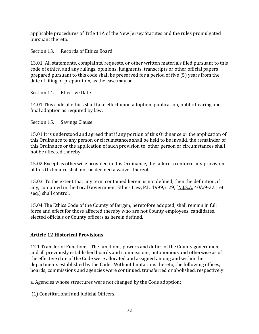applicable procedures of Title 11A of the New Jersey Statutes and the rules promulgated pursuant thereto.

Section 13. Records of Ethics Board

13.01 All statements, complaints, requests, or other written materials filed pursuant to this code of ethics, and any rulings, opinions, judgments, transcripts or other official papers prepared pursuant to this code shall be preserved for a period of five (5) years from the date of filing or preparation, as the case may be.

Section 14. Effective Date

14.01 This code of ethics shall take effect upon adoption, publication, public hearing and final adoption as required by law.

Section 15. Savings Clause

15.01 It is understood and agreed that if any portion of this Ordinance or the application of this Ordinance to any person or circumstances shall be held to be invalid, the remainder of this Ordinance or the application of such provision to other person or circumstances shall not be affected thereby.

15.02 Except as otherwise provided in this Ordinance, the failure to enforce any provision of this Ordinance shall not be deemed a waiver thereof.

15.03 To the extent that any term contained herein is not defined, then the definition, if any, contained in the Local Government Ethics Law, P.L. 1999, c.29, (N.J.S.A. 40A:9-22.1 et seq.) shall control.

15.04 The Ethics Code of the County of Bergen, heretofore adopted, shall remain in full force and effect for those affected thereby who are not County employees, candidates, elected officials or County officers as herein defined.

# **Article 12 Historical Provisions**

12.1 Transfer of Functions. The functions, powers and duties of the County government and all previously established boards and commissions, autonomous and otherwise as of the effective date of the Code were allocated and assigned among and within the departments established by the Code. Without limitations thereto, the following offices, boards, commissions and agencies were continued, transferred or abolished, respectively:

a. Agencies whose structures were not changed by the Code adoption:

(1) Constitutional and Judicial Officers.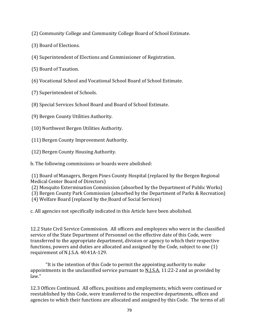(2) Community College and Community College Board of School Estimate.

- (3) Board of Elections.
- (4) Superintendent of Elections and Commissioner of Registration.
- (5) Board of Taxation.
- (6) Vocational School and Vocational School Board of School Estimate.
- (7) Superintendent of Schools.
- (8) Special Services School Board and Board of School Estimate.
- (9) Bergen County Utilities Authority.
- (10) Northwest Bergen Utilities Authority.
- (11) Bergen County Improvement Authority.
- (12) Bergen County Housing Authority.
- b. The following commissions or boards were abolished:

(1) Board of Managers, Bergen Pines County Hospital (replaced by the Bergen Regional Medical Center Board of Directors)

- (2) Mosquito Extermination Commission (absorbed by the Department of Public Works)
- (3) Bergen County Park Commission (absorbed by the Department of Parks & Recreation)
- (4) Welfare Board (replaced by the Board of Social Services)
- c. All agencies not specifically indicated in this Article have been abolished.

12.2 State Civil Service Commission. All officers and employees who were in the classified service of the State Department of Personnel on the effective date of this Code, were transferred to the appropriate department, division or agency to which their respective functions, powers and duties are allocated and assigned by the Code, subject to one (1) requirement of N.J.S.A. 40:41A-129.

"It is the intention of this Code to permit the appointing authority to make appointments in the unclassified service pursuant to N.J.S.A. 11:22-2 and as provided by law."

12.3 Offices Continued. All offices, positions and employments, which were continued or reestablished by this Code, were transferred to the respective departments, offices and agencies to which their functions are allocated and assigned by this Code. The terms of all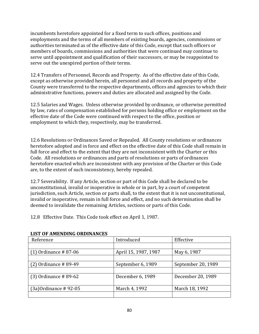incumbents heretofore appointed for a fixed term to such offices, positions and employments and the terms of all members of existing boards, agencies, commissions or authorities terminated as of the effective date of this Code, except that such officers or members of boards, commissions and authorities that were continued may continue to serve until appointment and qualification of their successors, or may be reappointed to serve out the unexpired portion of their terms.

12.4 Transfers of Personnel, Records and Property. As of the effective date of this Code, except as otherwise provided herein, all personnel and all records and property of the County were transferred to the respective departments, offices and agencies to which their administrative functions, powers and duties are allocated and assigned by the Code.

12.5 Salaries and Wages. Unless otherwise provided by ordinance, or otherwise permitted by law, rates of compensation established for persons holding office or employment on the effective date of the Code were continued with respect to the office, position or employment to which they, respectively, may be transferred.

12.6 Resolutions or Ordinances Saved or Repealed. All County resolutions or ordinances heretofore adopted and in force and effect on the effective date of this Code shall remain in full force and effect to the extent that they are not inconsistent with the Charter or this Code. All resolutions or ordinances and parts of resolutions or parts of ordinances heretofore enacted which are inconsistent with any provision of the Charter or this Code are, to the extent of such inconsistency, hereby repealed.

12.7 Severability. If any Article, section or part of this Code shall be declared to be unconstitutional, invalid or inoperative in whole or in part, by a court of competent jurisdiction, such Article, section or parts shall, to the extent that it is not unconstitutional, invalid or inoperative, remain in full force and effect, and no such determination shall be deemed to invalidate the remaining Articles, sections or parts of this Code.

12.8 Effective Date. This Code took effect on April 1, 1987.

| Reference               | Introduced           | Effective          |
|-------------------------|----------------------|--------------------|
|                         |                      |                    |
| $(1)$ Ordinance #87-06  | April 15, 1987, 1987 | May 6, 1987        |
|                         |                      |                    |
| $(2)$ Ordinance #89-49  | September 6, 1989    | September 20, 1989 |
|                         |                      |                    |
| $(3)$ Ordinance #89-62  | December 6, 1989     | December 20, 1989  |
|                         |                      |                    |
| $(3a)$ Ordinance #92-05 | March 4, 1992        | March 18, 1992     |
|                         |                      |                    |

### **LIST OF AMENDING ORDINANCES**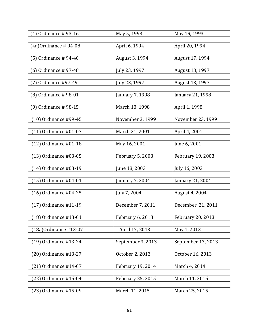| (4) Ordinance #93-16     | May 5, 1993             | May 19, 1993       |
|--------------------------|-------------------------|--------------------|
|                          |                         |                    |
| (4a) Ordinance # 94-08   | April 6, 1994           | April 20, 1994     |
|                          |                         |                    |
| (5) Ordinance # 94-40    | August 3, 1994          | August 17, 1994    |
|                          |                         |                    |
| (6) Ordinance # 97-48    | July 23, 1997           | August 13, 1997    |
|                          |                         |                    |
| (7) Ordinance #97-49     | July 23, 1997           | August 13, 1997    |
| (8) Ordinance #98-01     | January 7, 1998         | January 21, 1998   |
|                          |                         |                    |
| (9) Ordinance # 98-15    | March 18, 1998          | April 1, 1998      |
|                          |                         |                    |
| (10) Ordinance #99-45    | November 3, 1999        | November 23, 1999  |
|                          |                         |                    |
| $(11)$ Ordinance #01-07  | March 21, 2001          | April 4, 2001      |
|                          |                         |                    |
| $(12)$ Ordinance #01-18  | May 16, 2001            | June 6, 2001       |
|                          |                         |                    |
| $(13)$ Ordinance #03-05  | <b>February 5, 2003</b> | February 19, 2003  |
|                          |                         |                    |
| $(14)$ Ordinance #03-19  | June 18, 2003           | July 16, 2003      |
| $(15)$ Ordinance #04-01  |                         |                    |
|                          | January 7, 2004         | January 21, 2004   |
| $(16)$ Ordinance #04-25  | July 7, 2004            | August 4, 2004     |
|                          |                         |                    |
| $(17)$ Ordinance #11-19  | December 7, 2011        | December, 21, 2011 |
|                          |                         |                    |
| (18) Ordinance #13-01    | February 6, 2013        | February 20, 2013  |
|                          |                         |                    |
| $(18a)$ Ordinance #13-07 | April 17, 2013          | May 1, 2013        |
|                          |                         |                    |
| (19) Ordinance #13-24    | September 3, 2013       | September 17, 2013 |
|                          |                         |                    |
| (20) Ordinance #13-27    | October 2, 2013         | October 16, 2013   |
| (21) Ordinance #14-07    | February 19, 2014       | March 4, 2014      |
|                          |                         |                    |
| (22) Ordinance #15-04    | February 25, 2015       | March 11, 2015     |
|                          |                         |                    |
| (23) Ordinance #15-09    | March 11, 2015          | March 25, 2015     |
|                          |                         |                    |